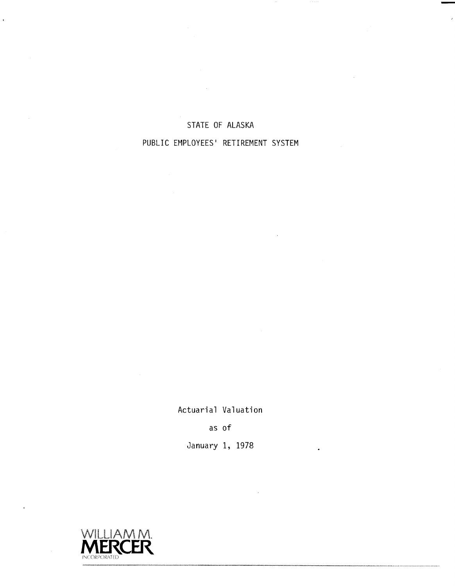## STATE OF ALASKA

 $\sim$   $\sim$ 

## PUBLIC EMPLOYEES' RETIREMENT SYSTEM

Actuarial Valuation

as of

January 1, 1978



 $\bar{t}$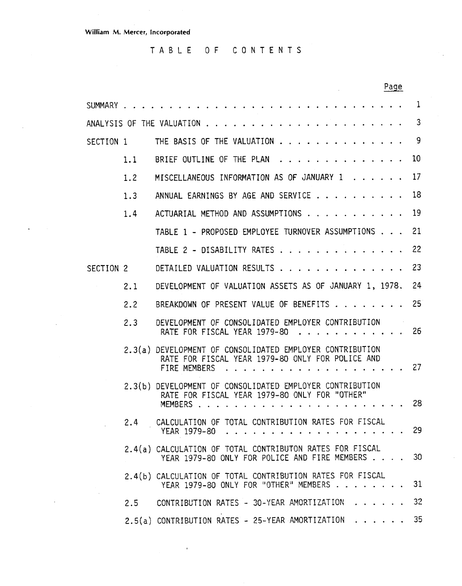$\ddot{\phantom{0}}$ 

 $\bar{z}$ 

 $\ddot{\phantom{a}}$ 

TABLE OF CONTENTS

|           |     | Page                                                                                                                         |     |
|-----------|-----|------------------------------------------------------------------------------------------------------------------------------|-----|
| SUMMARY   |     |                                                                                                                              | 1   |
|           |     | ANALYSIS OF THE VALUATION                                                                                                    | 3   |
| SECTION 1 |     | THE BASIS OF THE VALUATION                                                                                                   | 9   |
|           | 1.1 | BRIEF OUTLINE OF THE PLAN                                                                                                    | 10  |
|           | 1.2 | MISCELLANEOUS INFORMATION AS OF JANUARY 1                                                                                    | 17  |
|           | 1.3 | ANNUAL EARNINGS BY AGE AND SERVICE                                                                                           | 18  |
|           | 1.4 | ACTUARIAL METHOD AND ASSUMPTIONS                                                                                             | 19  |
|           |     | TABLE 1 - PROPOSED EMPLOYEE TURNOVER ASSUMPTIONS                                                                             | 21  |
|           |     | TABLE 2 - DISABILITY RATES                                                                                                   | 22  |
| SECTION 2 |     | DETAILED VALUATION RESULTS                                                                                                   | 23  |
|           | 2.1 | DEVELOPMENT OF VALUATION ASSETS AS OF JANUARY 1, 1978.                                                                       | 24  |
|           | 2.2 | BREAKDOWN OF PRESENT VALUE OF BENEFITS                                                                                       | 25  |
|           | 2.3 | DEVELOPMENT OF CONSOLIDATED EMPLOYER CONTRIBUTION<br>RATE FOR FISCAL YEAR 1979-80                                            | 26  |
|           |     | 2.3(a) DEVELOPMENT OF CONSOLIDATED EMPLOYER CONTRIBUTION<br>RATE FOR FISCAL YEAR 1979-80 ONLY FOR POLICE AND<br>FIRE MEMBERS | 27  |
|           |     | 2.3(b) DEVELOPMENT OF CONSOLIDATED EMPLOYER CONTRIBUTION<br>RATE FOR FISCAL YEAR 1979-80 ONLY FOR "OTHER"<br>MEMBERS.        | 28  |
|           | 2.4 | CALCULATION OF TOTAL CONTRIBUTION RATES FOR FISCAL<br>YEAR 1979-80                                                           | -29 |
|           |     | 2.4(a) CALCULATION OF TOTAL CONTRIBUTON RATES FOR FISCAL<br>YEAR 1979-80 ONLY FOR POLICE AND FIRE MEMBERS                    | 30  |
|           |     | 2.4(b) CALCULATION OF TOTAL CONTRIBUTION RATES FOR FISCAL<br>YEAR 1979-80 ONLY FOR "OTHER" MEMBERS                           | 31  |
|           | 2.5 | CONTRIBUTION RATES - 30-YEAR AMORTIZATION                                                                                    | 32  |
|           |     | 2.5(a) CONTRIBUTION RATES - 25-YEAR AMORTIZATION                                                                             | 35  |

 $\mathbf{u}$ 

 $\overline{\phantom{a}}$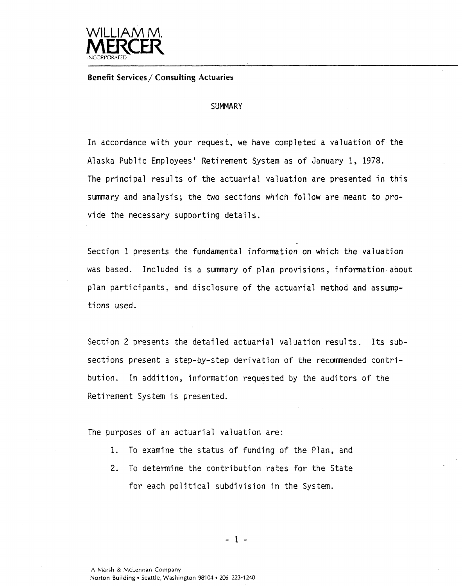

**Benefit Services** / **Consulting Actuaries** 

#### **SUMMARY**

In accordance with your request, we have completed a valuation of the Alaska Public Employees' Retirement System as of January 1, 1978. The principal results of the actuarial valuation are presented in this summary and analysis; the two sections which follow are meant to provide the necessary supporting details.

Section 1 presents the fundamental information on which the valuation was based. Included is a summary of plan provisions, information about plan participants, and disclosure of the actuarial method and assumptions used.

Section 2 presents the detailed actuarial valuation results. Its subsections present a step-by-step derivation of the recommended contribution. In addition, information requested by the auditors of the Retirement System is presented.

The purposes of an actuarial valuation are:

- 1. To examine the status of funding of the Plan, and
- 2. To determine the contribution rates for the State for each political subdivision in the Systen.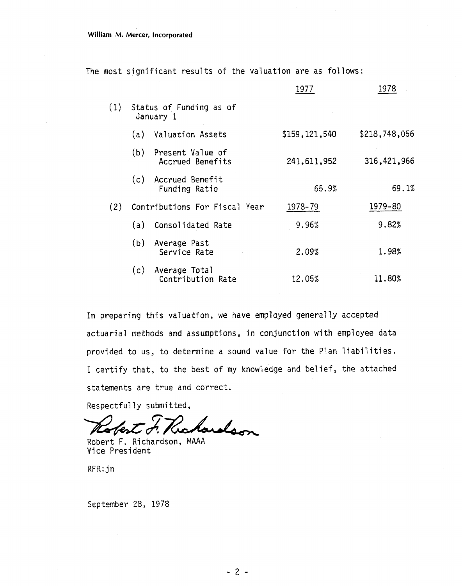The most significant results of the valuation are as follows:

|     |     |                                      | 1977          | 1978          |
|-----|-----|--------------------------------------|---------------|---------------|
| (1) |     | Status of Funding as of<br>January 1 |               |               |
|     | (a) | Valuation Assets                     | \$159,121,540 | \$218,748,056 |
|     | (b) | Present Value of<br>Accrued Benefits | 241, 611, 952 | 316,421,966   |
|     |     | (c) Accrued Benefit<br>Funding Ratio | 65.9%         | 69.1%         |
| (2) |     | Contributions For Fiscal Year        | 1978-79       | 1979-80       |
|     | (a) | Consolidated Rate                    | 9.96%         | 9.82%         |
|     | (b) | Average Past<br>Service Rate         | 2.09%         | 1.98%         |
|     | (c) | Average Total<br>Contribution Rate   | 12.05%        | 11.80%        |

In preparing this valuation, we have employed generally accepted actuarial methods and assumptions, in conjunction with employee data provided to us, to deternine a sound value for the Plan liabilities. I certify that, to the best of my knowledge and belief, the attached statements are true and correct.

Respectfully submitted,

hordson aJerl

Robert F. Richardson, MAAA Vice President

RFR: jn

September 28, 1978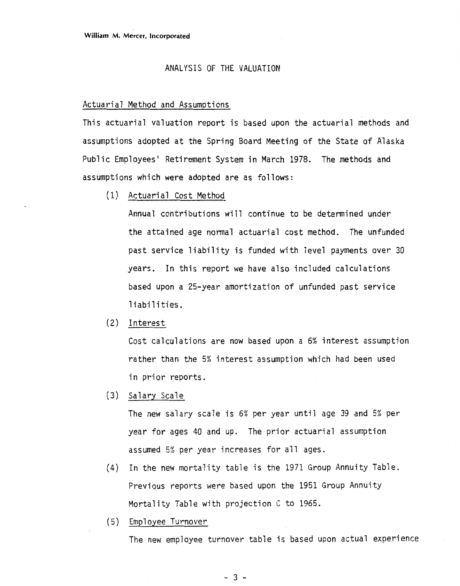#### ANALYSIS OF THE VALUATION

#### Actuarial Method and Assumptions

This actuarial valuation report is based upon the actuarial methods and assumptions adopted at the Spring Board Meeting of the State of Alaska Public Employees' Retirement System in March 1978. The methods and assumptions which were adopted are as follows:

(1) Actuarial Cost Method

Annual contributions will continue to be determined under the attained age normal actuarial cost method. The unfunded past service liability is funded with level payments over 30 years. In this report we have also included calculations based upon a 25-year amortization of unfunded past service liabilities.

**(2)** Interest

Cost calculations are now based upon a 6% interest assumption rather than the 5% interest assumption which had been used in prior reports.

(3) Salary Scale

The new salary scale is 6% per year until age 39 and 5% per year for ages 40 and up. The prior actuarial assumption assumed 5% per year increases for all ages.

- (4) In the new mortality table is the 1971 Group Annuity Table. Previous reports were based upon the 1951 Group Annuity Mortality Table with projection **C** to 1965.
- (5) Empl oyee Turnover

The new employee turnover table is based upon actual experience

 $-3-$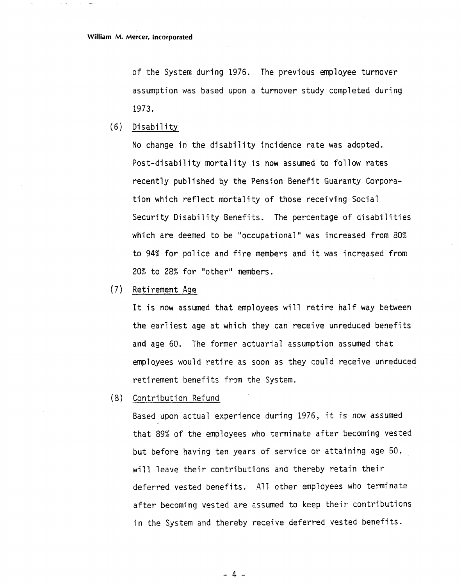of the System during 1976. The previous employee turnover assumption was based upon a turnover study completed during 1973.

(6) Disability

No change in the disability incidence rate was adopted. Post-disability mortality is now assumed to follow rates recently pub1 ished by the Pension Benefit Guaranty Corporation which reflect mortality of those receiving Social Security Disability Benefits. The percentage of disabilities which are deemed to be "occupational" was increased from 80% to 94% for police and fire members and it was increased from 20% to 28% for "other" members.

(7) Retirement Age

It is now assumed that employees will retire half way between the earliest age at which they can receive unreduced benefits and age 60. The former actuarial assumption assumed that employees would retire as soon as they could receive unreduced retirement benefits from the System.

(8) Contribution Refund

Based upon actual experience during 1976, it is now assumed that 89% of the employees who terminate after becoming vested but before having ten years of service or attaining age 50, will leave their contributions and thereby retain their deferred vested benefits. All other employees who terminate after becoming vested are assumed to keep their contributions in the System and thereby receive deferred vested benefits.

 $-4-$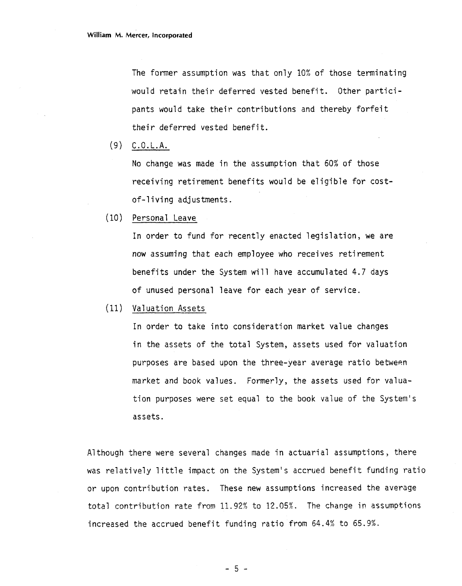The former assumption was that only 10% of those terminating would retain their deferred vested benefit. Other participants would take their contributions and thereby forfeit their deferred vested benefit.

(9) C.O.L.A.

No change was made in the assumption that 60% of those receiving retirement benefits would be eligible for costof-living adjustments.

(10) Personal Leave

In order to fund for recently enacted legislation, we are now assuming that each employee who receives retirement benefits under the System will have accumulated 4.7 days of unused personal leave for each year of service.

(11) Valuation Assets

In order to take into consideration market value changes in the assets of the total System, assets used for valuation purposes are based upon the three-year average ratio between market and book values. Formerly, the assets used for valuation purposes were set equal to the book value of the System's assets.

Although there were several changes made in actuarial assumptions, there was relatively little impact on the System's accrued benefit funding ratio or upon contribution rates. These new assumptions increased the average total contribution rate from 11.92°4 to 12.05%. The change in assumptions increased the accrued benefit funding ratio from 64.4% to 65.9%.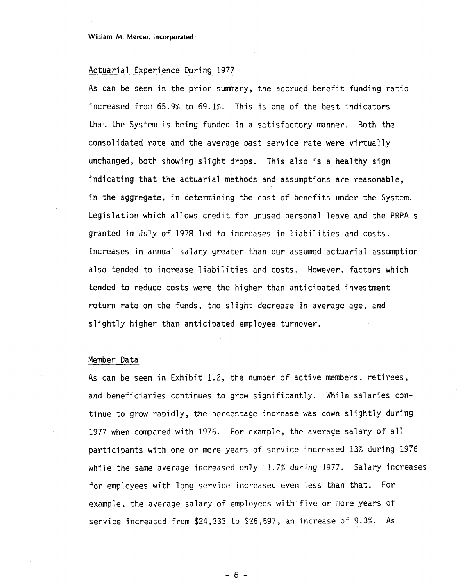#### Actuarial Experience During 1977

As can be seen in the prior summary, the accrued benefit funding ratio increased from 65.9% to 69.1%. This is one of the best indicators that the System is being funded in a satisfactory manner. Both the consolidated rate and the average past service rate were virtually unchanged, both showing slight drops. This also is a healthy sign indicating that the actuarial methods and assumptions are reasonable, in the aggregate, in determining the cost of benefits under the System. Legislation which allows credit for unused personal leave and the PRPA's granted in July of 1978 led to increases in liabilities and costs. Increases in annual salary greater than our assumed actuarial assumption also tended to increase liabilities and costs. However, factors which tended to reduce costs were the higher than anticipated investment return rate on the funds, the slight decrease in average age, and slightly higher than anticipated employee turnover.

#### Member Data

As can be seen in Exhibit 1.2, the number of active members, retirees, and beneficiaries continues to grow significantly. While salaries continue to grow rapidly, the percentage increase was down slightly during 1977 when compared with 1976. For example, the average salary of all participants with one or more years of service increased 13% during 1976 while the same average increased only 11.7% during 1977. Salary increases for employees with long service increased even less than that. For example, the average salary of employees with five or more years of service increased from \$24,333 to \$26,597, an increase of 9.3%. As

 $-6-$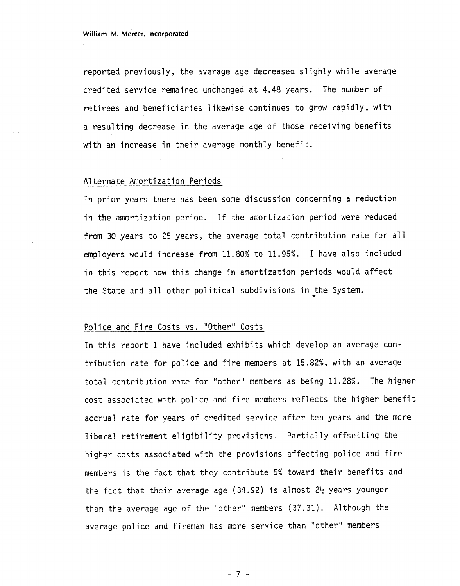reported previously, the average age decreased slighly while average credited service remained unchanged at 4.48 years. The number of retirees and beneficiaries likewise continues to grow rapidly, with a resulting decrease in the average age of those receiving benefits with an increase in their average monthly benefit.

#### A1 ternate Amortization Periods

In prior years there has been some discussion concerning a reduction in the amortization period. If the amortization period were reduced from 30 years to 25 years, the average total contribution rate for all employers would increase from 11.80% to 11.95%. I have also included in this report how this change in amortization periods would affect the State and all other political subdivisions in the System.

## Police and Fire Costs vs. "Other" Costs

In this report I have included exhibits which develop an average contribution rate for police and fire members at 15.82%, with an average total contribution rate for "other" members as being 11.28%. The higher cost associated with police and fire members reflects the higher benefit accrual rate for years of credited service after ten years and the more liberal retirement eligibility provisions. Partially offsetting the higher costs associated with the provisions affecting police and fire members is the fact that they contribute 5% toward their benefits and the fact that their average age (34.92) is almost **2%** years younger than the average age of the "other" members (37.31). A1 though the average police and fireman has more service than "other" members

 $-7 -$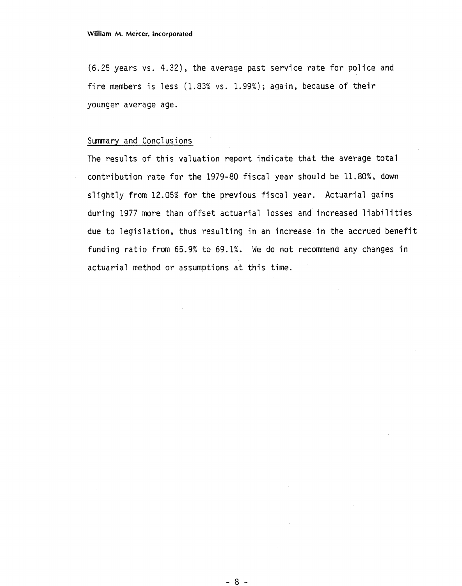(6.25 years vs. 4.32) , the average past service rate for police and fire members is less  $(1.83\% \text{ vs. } 1.99\%)$ ; again, because of their younger average age.

## Summary and Conclusions

The results of this valuation report indicate that the average total contribution rate for the 1979-80 fiscal year should be 11.80%, down slightly from 12.05% for the previous fiscal year. Actuarial gains during 1977 more than offset actuarial losses and increased liabilities due to legislation, thus resulting in an increase in the accrued benefit funding ratio from 65.9% to 69.1%. We do not recommend any changes in actuarial method or assumptions at this time.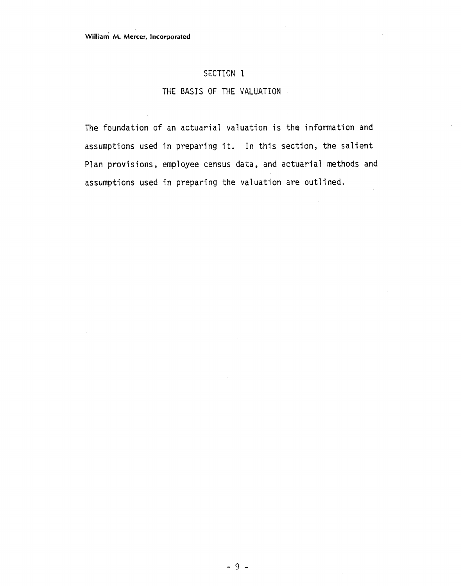## SECTION 1

## THE BASIS OF THE VALUATION

The foundation of an actuarial valuation is the information and assumptions used in preparing it. In this section, the salient Plan provisions, employee census data, and actuarial methods and assumptions used in preparing the valuation are out] ined.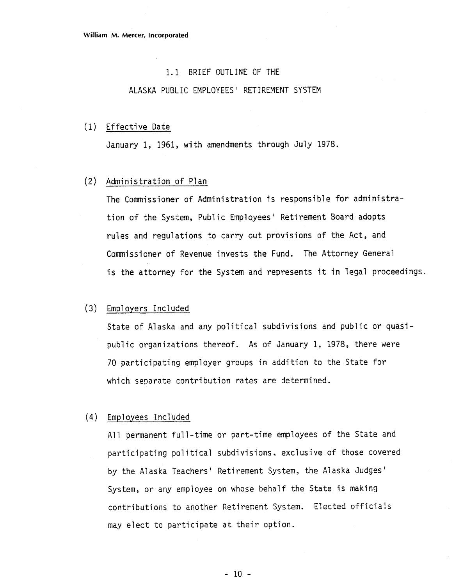#### 1.1 BRIEF OUTLINE OF THE

## ALASKA PUBLIC EMPLOYEES' RETIREMENT SYSTEM

#### (1) Effective Date

January 1, 1961, with amendments through July 1978.

## (2) Administration of Plan

The Commissioner of Administration is responsible for administration of the System, Public Employees' Retirement Board adopts rules and regulations to carry out provisions of the Act, and Commissioner of Revenue invests the Fund. The Attorney General is the attorney for the System and represents it in legal proceedings.

## (3) Employers Included

State of Alaska and any political subdivisions and public or quasipublic organizations thereof. As of January 1, 1978, there were 70 participating employer groups in addition to the State for which separate contribution rates are determined.

#### (4) Employees Incl uded

All permanent full-time or part-time employees of the State and participating political subdivisions, exclusive of those covered by the Alaska Teachers' Retirement System, the Alaska Judges' System, or any employee on whose behalf the State is making contributions to another Retirement System. Elected officials may elect to participate at their option.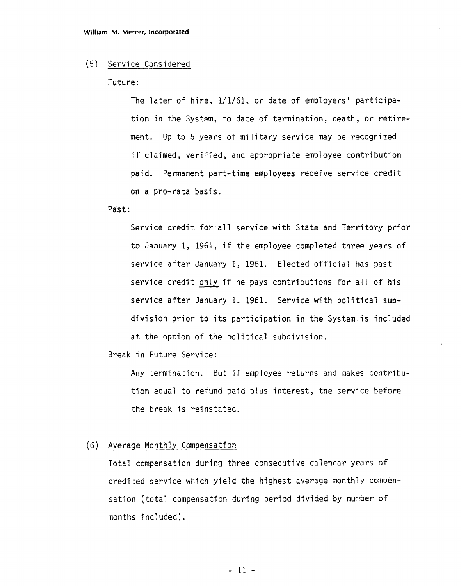#### (5) Service Considered

Future:

The later of hire, 1/1/61, or date of employers' participation in the System, to date of termination, death, or retirement. Up to 5 years of military service may be recognized if claimed, verified, and appropriate employee contribution paid. Permanent part-time employees receive service credit on a pro-rata basis.

Past:

Service credit for all service with State and Territory prior to January 1, 1961, if the employee completed three years of service after January 1, 1961. Elected official has past service credit only if he pays contributions for all of his service after January 1, 1961. Service with political subdivision prior to its participation in the System is included at the option of the political subdivision.

Break in Future Service:

Any termination. But if employee returns and makes contribution equal to refund paid plus interest, the service before the break is reinstated.

#### (6) Average Monthly Compensation

Total compensation during three consecutive calendar years of credited service which yield the highest average monthly compensation (total compensation during period divided by number of months included).

 $-11 -$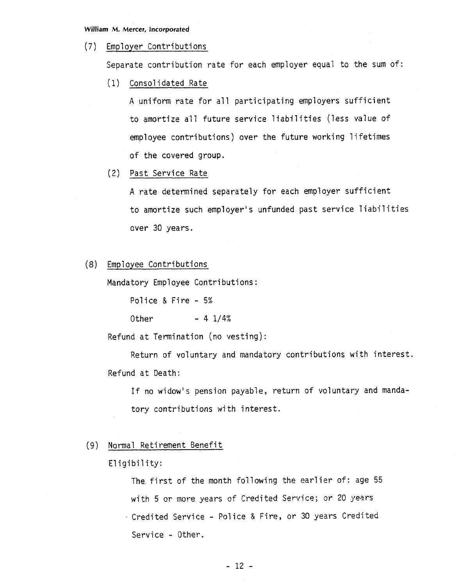#### **William M. Mercer, Incorporated**

#### (7) Employer Contributions

Separate contribution rate for each employer equal to the sum of:

(1) Cons01 idated Rate

A uniform rate for all participating employers sufficient to amortize all future service liabilities (less value of employee contributions) over the future working lifetimes of the covered group.

(2) Past Service Rate

A rate determined separately for each employer sufficient to amortize such employer's unfunded past service liabilities over 30 years.

(8) Employee Contributions

Mandatory Employee Contributions:

Police & Fire - 5%

Other  $- 4 1/4%$ 

Refund at Termination (no vesting) :

Return of voluntary and mandatory contributions with interest. Refund at Death:

If no widow's pension payable, return of voluntary and mandatory contributions with interest.

#### (9) Normal Reti rement Benefit

#### Eligibility:

The first of the month following the earlier of: age 55 with 5 or more years of Credited Service; or 20 years Credited Service - Pol ice & Fire, or 30 years Credited Service - Other.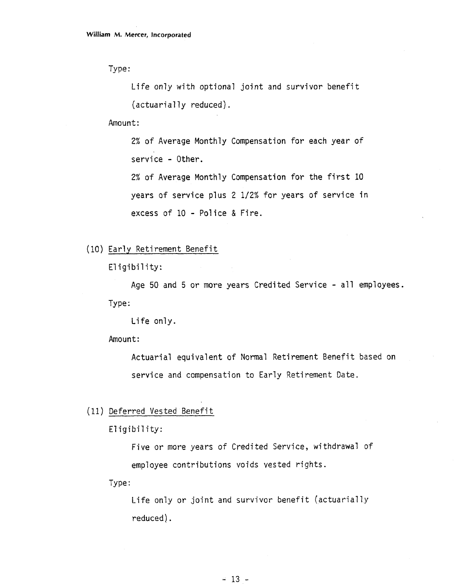Type :

Life only with optional joint and survivor benefit  $(actually reduced).$ 

Amount:

2% of Average Monthly Compensation for each year of service - Other.

2% of Average Monthly Compensation for the first 10 years of service plus 2 1/2% for years of service in excess of 10 - Police & Fire.

```
(10) Early Retirement Benefit
```
Eligibility:

Age 50 and 5 or more years Credited Service - all employees. Type :

Life only.

Amount:

Actuarial equivalent of Normal Retirement Benefit based on service and compensation to Early Retirement Date.

(11) Deferred Vested Benefit

Eligibility:

Five or more years of Credited Service, withdrawal of employee contributions voids vested rights.

Type :

Life only or joint and survivor benefit (actuarially reduced).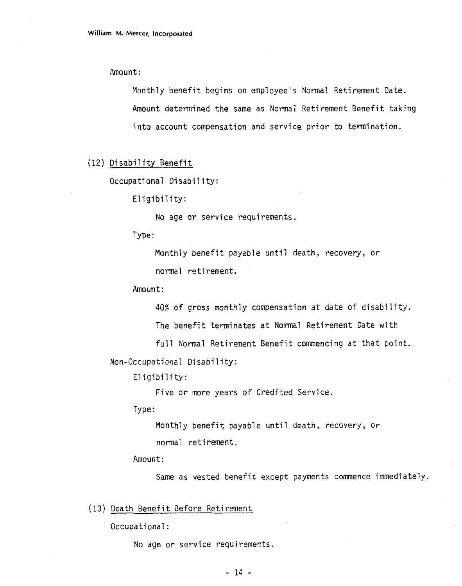Amount:

Monthly benefit begins on employee's Normal Retirement Date. Amount determined the same as Normal Retirement Benefit taking into account compensation and service prior to termination.

#### (12) Disability Benefit

Occupational Disability:

Eligibility:

No age or service requirements.

Type :

Monthly benefit payable until death, recovery, or normal reti rement .

Amount:

40% of gross monthly compensation at date of disability.

The benefit terminates at Normal Retirement Date with

full Normal Retirement Benefit commencing at that point.

Non-Occupational Disability:

Eligibility:

Five or more years of Credited Service.

Type :

Monthly benefit payable until death, recovery, or normal retirement.

Amount:

Same as vested benefit except payments commence immediately.

(13) Death Benefit Before Retirement

Occupational :

No age or service requirements.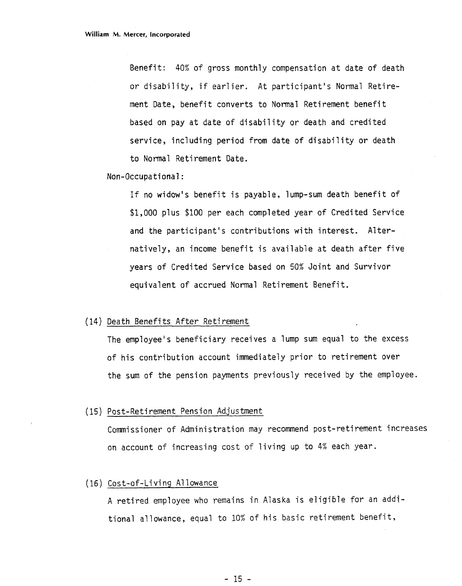Benefit: 40% of gross monthly compensation at date of death or disability, if earlier. At participant's Normal Retirement Date, benefit converts to Normal Retirement benefit based on pay at date of disability or death and credited service, including period from date of disability or death to Normal Retirement Date.

#### Non-Occupational:

If no widow's benefit is payable, lump-sum death benefit of \$1,000 plus \$100 per each completed year of Credited Service and the participant's contributions with interest. Alternatively, an income benefit is available at death after five years of Credited Service based on 50% Joint and Survivor equivalent of accrued Normal Retirement Benefit.

#### (14) Death Benefits After Retirement

The employee's beneficiary receives a lump sum equal to the excess of his contribution account immediately prior to retirement over the sum of the pension payments previously received by the employee.

#### (15) Post-Retirement Pension Adjustment

Commissioner of Administration may recommend post-retirement increases on accaunt of increasing cost of living up to 4% each year.

## (16) Cost-of-Li vi ng A1 lowance

A retired employee who remains in Alaska is eligible for an additional allowance, equal to 10% of his basic retirement benefit,

 $-15 -$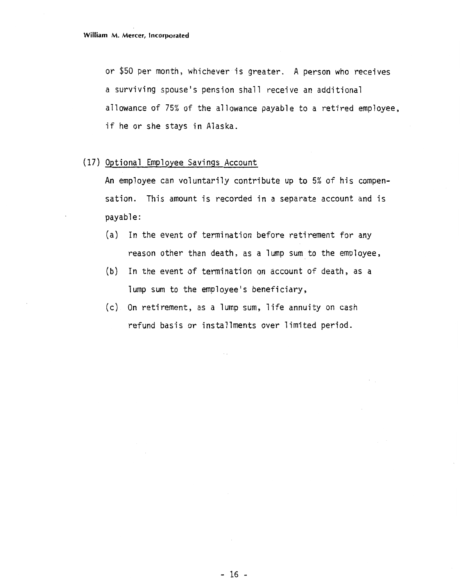or \$50 per month, whichever is greater. A person who receives a surviving spouse's pension shall receive an additional allowance of 75% of the allowance payable to a retired employee, if he or she stays in Alaska.

#### (17) Optional Employee Savings Account

An employee can voluntarily contribute up to 5% of his compensation. This amount is recorded in a separate account and is payable:

- (a) In the event of termination before retirement for any reason other than death, as a lump sum to the employee,
- **(b)** In the event of termination on account of death, as a lump sum to the employee's beneficiary,
- (c) On retirement, as a lump sum, life annuity on cash refund basis or installments over limited period.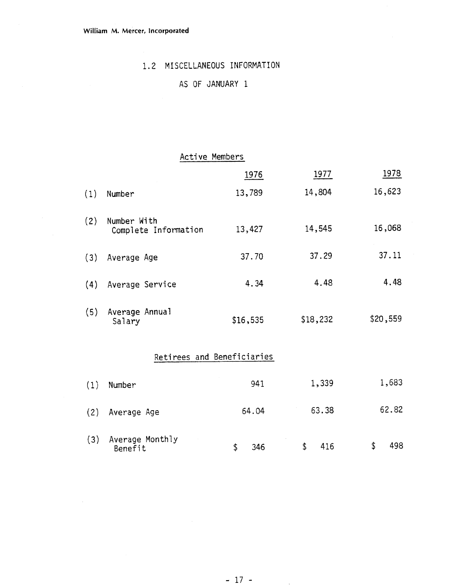## 1.2 MISCELLANEOUS INFORMATION

## AS OF JANUARY 1

## Active Members

|     |                                     | 1976                       | 1977     | 1978     |
|-----|-------------------------------------|----------------------------|----------|----------|
| (1) | Number                              | 13,789                     | 14,804   | 16,623   |
| (2) | Number With<br>Complete Information | 13,427                     | 14,545   | 16,068   |
| (3) | Average Age                         | 37.70                      | 37.29    | 37.11    |
| (4) | Average Service                     | 4.34                       | 4.48     | 4.48     |
| (5) | Average Annual<br>Salary            | \$16,535                   | \$18,232 | \$20,559 |
|     |                                     | Retirees and Beneficiaries |          |          |
| (1) | Number                              | 941                        | 1,339    | 1,683    |

| (2) Average Age                | 64.04 |              | 63.38 | 62.82 |
|--------------------------------|-------|--------------|-------|-------|
| (3) Average Monthly<br>Benefit | -346  | <sup>5</sup> | -416  | 498   |

64.04 63.38

62.82

**Contractor**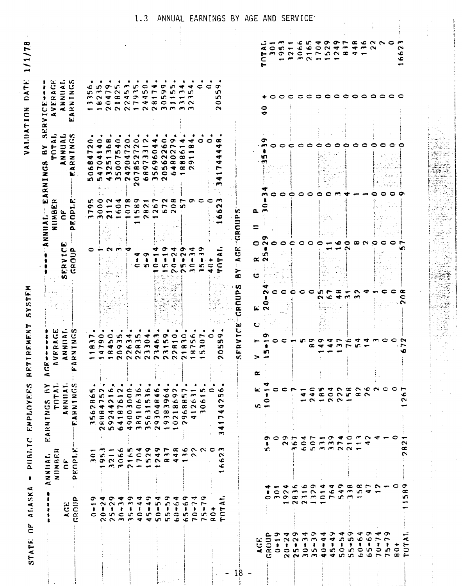| ۵<br>$rac{1}{R}$<br>AGE<br>C                                |                                                                                              | $\mathbf{r}$<br>NNIIAI.<br><b>IGNUM</b>                                                                                                                                                                       | $\overline{a}$<br>≻<br>$\mathbf{r}$<br><b>TOT</b><br>v.<br>EARNING                                                                                                                                                                                                                                                                                                                                                                                                                                                                                                                                  | C<br>$\blacktriangleleft$<br>Œ<br>۰<br><b>AVF</b><br>$\bullet$<br>ta.<br>$\overline{C}$  |                    |                                                             | NUMBER<br>$\overline{A}$                                                                                                   | نت<br>ت<br>œ,<br>4<br>TOT<br>➤<br>B<br>œ<br>ပ္<br>2<br>EARNIN                                                                      | CE----<br>VERAGE<br>$\mathbf C$<br>$\sigma$<br>÷.<br>><br>$\propto$                                                |                          |
|-------------------------------------------------------------|----------------------------------------------------------------------------------------------|---------------------------------------------------------------------------------------------------------------------------------------------------------------------------------------------------------------|-----------------------------------------------------------------------------------------------------------------------------------------------------------------------------------------------------------------------------------------------------------------------------------------------------------------------------------------------------------------------------------------------------------------------------------------------------------------------------------------------------------------------------------------------------------------------------------------------------|------------------------------------------------------------------------------------------|--------------------|-------------------------------------------------------------|----------------------------------------------------------------------------------------------------------------------------|------------------------------------------------------------------------------------------------------------------------------------|--------------------------------------------------------------------------------------------------------------------|--------------------------|
|                                                             |                                                                                              | $\mathbf{\hat{a}}$<br>$\epsilon$                                                                                                                                                                              | ANNIIAI.<br>IRNINGS                                                                                                                                                                                                                                                                                                                                                                                                                                                                                                                                                                                 | <b>AIAC</b><br><b>ANA</b>                                                                |                    | ь<br><b>FRVICI</b><br>CROUP<br>C.                           | $\mathbf C$                                                                                                                | INNUAL<br>$\overline{\alpha}$                                                                                                      | $ \alpha$<br>⊲ じ<br>$\overrightarrow{z}$ $\overrightarrow{z}$<br>$\alpha \propto$<br>ш                             |                          |
|                                                             | $\alpha$                                                                                     | 'n,<br>Enp1.                                                                                                                                                                                                  | $\blacktriangleleft$<br>Ł.                                                                                                                                                                                                                                                                                                                                                                                                                                                                                                                                                                          | $rac{1}{2}$<br>t.                                                                        |                    |                                                             | ь.<br>terat<br>EOPI<br>۵.                                                                                                  | Æ<br>Ы.                                                                                                                            | $\blacktriangleleft$                                                                                               |                          |
| $\overline{\phantom{0}}$                                    |                                                                                              |                                                                                                                                                                                                               | $\bullet$                                                                                                                                                                                                                                                                                                                                                                                                                                                                                                                                                                                           | ∼                                                                                        |                    |                                                             | စ ဝ<br>$\overline{r}$                                                                                                      | ∊<br>$\sim$<br>∼<br>▿<br>$\infty$<br>∾<br>⊂                                                                                        | ¢<br>١n<br>$\sim$                                                                                                  |                          |
| $\sim$<br>$\mathbf{r}$                                      | $\sigma$ +                                                                                   | $ -$                                                                                                                                                                                                          | $\bullet$<br>r v<br>جه ت<br>$\alpha$ $\tau$<br>$\sim$ 4                                                                                                                                                                                                                                                                                                                                                                                                                                                                                                                                             | 0                                                                                        |                    |                                                             |                                                                                                                            | 0<br>$\blacktriangledown$<br>$\blacksquare$<br>▾<br>$\blacksquare$                                                                 | un.<br>$\rightarrow$<br>$\sim$                                                                                     |                          |
| $rac{1}{2}$<br>$\sim \sim$ $\sim$                           |                                                                                              | $30000000000$                                                                                                                                                                                                 | ۰c<br>$\blacksquare$<br>$\sim$<br>$\blacktriangledown$<br>$\begin{array}{cccccccccccccc} \multicolumn{4}{c}{} & \multicolumn{4}{c}{} & \multicolumn{4}{c}{} & \multicolumn{4}{c}{} & \multicolumn{4}{c}{} & \multicolumn{4}{c}{} & \multicolumn{4}{c}{} & \multicolumn{4}{c}{} & \multicolumn{4}{c}{} & \multicolumn{4}{c}{} & \multicolumn{4}{c}{} & \multicolumn{4}{c}{} & \multicolumn{4}{c}{} & \multicolumn{4}{c}{} & \multicolumn{4}{c}{} & \multicolumn{4}{c}{} & \multicolumn{4}{c}{} & \multicolumn{4}{c}{} & \multicolumn{4}{c}{} & \$<br>can-orommno<br>m co de o co co co co<br>2564mm2 | c<br>monom<br><b>artocant-aarn</b><br>- 4 5 6 6 6 6 7 7 8 8 7<br>- - - - - - - - - - - - |                    |                                                             | <b>GONTEGALO</b><br>HOF an en 0<br>$\begin{array}{c} \hline \mathbf{m} & \mathbf{m} & \mathbf{m} & \mathbf{m} \end{array}$ | $x \circ c$<br>۰<br>ຕທ<br>$\blacksquare$<br><b>MOONNO COOD</b><br><b>NONGO CUTEN</b><br><i><b>ARDALEROG</b></i><br><b>55430633</b> | $\sigma$ is $\sigma$<br>$\sim$ $\sim$ $\sim$<br>$\sigma$ $\infty$<br><b>MOCHNAROL</b><br>- 2 2 2 - 2 2 2 3 4 5 6 7 |                          |
| $\sim$ $\sim$<br>$\bullet$                                  | $\sigma$ $\rightarrow$                                                                       |                                                                                                                                                                                                               | $\bullet$ . $\bullet$<br>$\sim$                                                                                                                                                                                                                                                                                                                                                                                                                                                                                                                                                                     | ïО.                                                                                      |                    |                                                             |                                                                                                                            | ¢<br>$\overline{ }$                                                                                                                |                                                                                                                    |                          |
| $\sim$<br>$\bullet$                                         | $\bullet$                                                                                    | $\sim$                                                                                                                                                                                                        | $\bullet$<br>$\mathbf C$                                                                                                                                                                                                                                                                                                                                                                                                                                                                                                                                                                            | ↞                                                                                        |                    |                                                             |                                                                                                                            | $\sim$<br>$\overline{r}$<br>↽                                                                                                      | $\blacktriangledown$                                                                                               |                          |
|                                                             | ◅                                                                                            |                                                                                                                                                                                                               | ٠<br>$\mathbf c$<br>36                                                                                                                                                                                                                                                                                                                                                                                                                                                                                                                                                                              | u.<br>$\sim$                                                                             |                    | ▾<br>$\blacksquare$                                         | $\blacksquare$                                                                                                             | e<br>$\sim$<br>$\overline{r}$<br>$\sim$<br>$\sim$                                                                                  | $\sigma$                                                                                                           |                          |
| ᢁ<br>777<br>SCROPORC<br>CONCROPO                            |                                                                                              | <b>CONGOOTACONO</b><br>conduan<br>cnamann                                                                                                                                                                     | ٠<br>761<br>300<br>063<br>484                                                                                                                                                                                                                                                                                                                                                                                                                                                                                                                                                                       | ₹<br>$\bullet$                                                                           |                    | ∾<br>$\bullet$<br>$rac{1}{2}$ in $rac{1}{2}$ in $rac{1}{2}$ | $\sim$                                                                                                                     | $\sim$<br>$\overline{\phantom{a}}$<br>$m \circ N$<br>$\sim$ $\sim$                                                                 | $0 \circ 4$<br>moro<br>$\blacktriangledown$                                                                        |                          |
|                                                             | ◅                                                                                            |                                                                                                                                                                                                               | $\bullet$                                                                                                                                                                                                                                                                                                                                                                                                                                                                                                                                                                                           | $\sim$<br>۰c                                                                             |                    | −<br>٠                                                      |                                                                                                                            | ◅<br>₹                                                                                                                             | ٠<br>$\blacksquare$                                                                                                |                          |
| ഗ<br>$\mathbf{I}$                                           | o                                                                                            |                                                                                                                                                                                                               | ۰<br>◆<br>$\bullet$<br>¢                                                                                                                                                                                                                                                                                                                                                                                                                                                                                                                                                                            | м.                                                                                       |                    | ᡋ<br>۰                                                      |                                                                                                                            | c<br>٠<br>$\sim$                                                                                                                   | ٠<br>œ<br>чC                                                                                                       |                          |
| $\bullet$                                                   | ෑ                                                                                            |                                                                                                                                                                                                               | $\sim$<br>$\bullet$<br>۰c<br>$m \alpha$<br>$\infty$ $\sim$<br>--                                                                                                                                                                                                                                                                                                                                                                                                                                                                                                                                    | o o<br>$\overline{\phantom{a}}$                                                          |                    | ₹<br>$\sim$<br>$\pmb{\ast}$<br>$\sim$                       |                                                                                                                            | ᡐ<br>$\overline{ }$<br>$\sim$<br>$\circ$                                                                                           | in.<br>ъn.                                                                                                         |                          |
| $\mathbf{c}$                                                | ᢦ                                                                                            |                                                                                                                                                                                                               | ИC.<br>$\alpha$<br>$\infty$<br>$\mathbf c$<br>$\sim$                                                                                                                                                                                                                                                                                                                                                                                                                                                                                                                                                | C<br>$\overline{\phantom{a}}$                                                            |                    | ☞<br>$\sim$<br>۰<br>$\overline{r}$ $\overline{c}$<br>$\sim$ | хO                                                                                                                         | ◆<br>€<br>$\infty$ $-$                                                                                                             | ▿<br>$\blacksquare$<br>$\sim$ $\sim$                                                                               |                          |
| $\overline{ }$<br>$\pmb{\ast}$                              | ◅                                                                                            |                                                                                                                                                                                                               | $\overline{ }$<br>عہ<br>$\Rightarrow$                                                                                                                                                                                                                                                                                                                                                                                                                                                                                                                                                               | ℃                                                                                        |                    | ₹<br>بمعا<br>1<br>$\sim$ $\sim$                             | $- - - - -$                                                                                                                | ₹<br>œ                                                                                                                             | ◅<br>ഗ                                                                                                             |                          |
| $\overline{ }$<br>T.<br>in.<br>$\overline{ }$               | œ                                                                                            |                                                                                                                                                                                                               | ÷<br>¢<br>$\sim$ $\circ$<br>$ -$                                                                                                                                                                                                                                                                                                                                                                                                                                                                                                                                                                    | r<br>$\sim$ $\sim$<br>æ un                                                               |                    | ٠<br>LC.                                                    |                                                                                                                            |                                                                                                                                    | c                                                                                                                  |                          |
| ۰<br>$\circ$<br>$\alpha$                                    |                                                                                              |                                                                                                                                                                                                               |                                                                                                                                                                                                                                                                                                                                                                                                                                                                                                                                                                                                     |                                                                                          |                    | ٠<br>$\circ$<br>$\blacktriangleright$                       |                                                                                                                            |                                                                                                                                    | c                                                                                                                  |                          |
| Æ<br><b>DT</b><br>5                                         | ÷<br>تہ                                                                                      | $\overline{\phantom{a}}$<br>$\sim$<br>۰c<br>c                                                                                                                                                                 | ٠<br>R.<br>$\tilde{\phantom{a}}$<br>◆<br>▿<br>r<br>$\overline{\phantom{0}}$<br>₹<br>$\blacksquare$                                                                                                                                                                                                                                                                                                                                                                                                                                                                                                  | ᡋ<br>m<br>r.<br>$\bar{\mathbf{c}}$                                                       |                    | $\overline{a}$<br>۴<br>$\epsilon$<br>÷                      | بسم<br>$\sim$<br>۱c<br>٠<br>$\frac{1}{2}$                                                                                  | œ<br>↔<br>÷<br>÷<br>m                                                                                                              | ਼<br>ഗ<br>ഗ<br>0<br>$\sim$                                                                                         |                          |
|                                                             |                                                                                              |                                                                                                                                                                                                               |                                                                                                                                                                                                                                                                                                                                                                                                                                                                                                                                                                                                     | RVT<br>v.                                                                                | S<br>GROUP<br>نعا  | AGE<br>≻<br>œ                                               | v.<br><b>GROUP</b>                                                                                                         |                                                                                                                                    |                                                                                                                    |                          |
|                                                             |                                                                                              |                                                                                                                                                                                                               | ίε.<br>$\omega -$                                                                                                                                                                                                                                                                                                                                                                                                                                                                                                                                                                                   | ><br>$\propto$                                                                           | $\sim$ $\sim$<br>ပ | c<br>$\propto$ $\sim$<br>ပ                                  | Δ.                                                                                                                         |                                                                                                                                    |                                                                                                                    |                          |
| ے<br>AGE<br>ROU                                             |                                                                                              | ۱C.                                                                                                                                                                                                           | ۰<br>0<br>o                                                                                                                                                                                                                                                                                                                                                                                                                                                                                                                                                                                         |                                                                                          | e<br>c             | $\sim$<br>w.                                                | 0                                                                                                                          | v.                                                                                                                                 | c                                                                                                                  | c                        |
| จ<br>$\overline{\phantom{0}}$<br>$\bullet$                  |                                                                                              |                                                                                                                                                                                                               | c                                                                                                                                                                                                                                                                                                                                                                                                                                                                                                                                                                                                   |                                                                                          |                    |                                                             |                                                                                                                            |                                                                                                                                    |                                                                                                                    |                          |
| ◆<br>$\sim$<br>$\bullet$                                    | $0.99 - 0.00$<br>$\ddot{\mathbf{o}}$ m $\ddot{\mathbf{o}}$ a m m c r $\ddot{\mathbf{o}}$ m m | $\sim$                                                                                                                                                                                                        | $\bullet$<br>$\circ$ $\circ$ $\sim$                                                                                                                                                                                                                                                                                                                                                                                                                                                                                                                                                                 |                                                                                          | c                  | 0                                                           | $\circ \circ \circ \circ$                                                                                                  | $\circ$ $\circ$                                                                                                                    |                                                                                                                    | $-m \sim$                |
| ᡐ<br>$\sim$<br>٠                                            |                                                                                              | ے                                                                                                                                                                                                             |                                                                                                                                                                                                                                                                                                                                                                                                                                                                                                                                                                                                     |                                                                                          |                    | $\circ$ $\circ$                                             |                                                                                                                            |                                                                                                                                    |                                                                                                                    |                          |
| ◅<br>$\tilde{\phantom{a}}$<br>$\pmb{\ast}$<br>$\dot{\phi}$  |                                                                                              | $\circ$                                                                                                                                                                                                       | $\overline{\phantom{m}}$                                                                                                                                                                                                                                                                                                                                                                                                                                                                                                                                                                            |                                                                                          |                    |                                                             |                                                                                                                            | $\circ$ $\circ$                                                                                                                    |                                                                                                                    |                          |
| $\frac{1}{2}$<br>ာ<br>$\overline{\phantom{a}}$<br>$\bullet$ | <b>A C O O A A O C C</b>                                                                     | $C \nrightarrow m$<br>$\begin{array}{c} \mathcal{L} & \mathcal{L} & \mathcal{L} & \mathcal{L} & \mathcal{L} \\ \mathcal{L} & \mathcal{L} & \mathcal{L} & \mathcal{L} & \mathcal{L} & \mathcal{L} \end{array}$ | $C$ in $T$<br>4400000<br>$\rightarrow$                                                                                                                                                                                                                                                                                                                                                                                                                                                                                                                                                              | ᡡ<br>œ                                                                                   | CONCAWW            | 0                                                           |                                                                                                                            |                                                                                                                                    |                                                                                                                    | $710004740$<br>$7100044$ |
| ╺<br>₹<br>٠                                                 |                                                                                              |                                                                                                                                                                                                               |                                                                                                                                                                                                                                                                                                                                                                                                                                                                                                                                                                                                     | ⋖                                                                                        |                    |                                                             | ᅌ                                                                                                                          | $\bullet$                                                                                                                          |                                                                                                                    |                          |
| ∍<br><b>G</b><br>$\pmb{\ast}$                               |                                                                                              |                                                                                                                                                                                                               |                                                                                                                                                                                                                                                                                                                                                                                                                                                                                                                                                                                                     | ~<br>₹                                                                                   |                    |                                                             | ¢                                                                                                                          |                                                                                                                                    |                                                                                                                    |                          |
| ◆<br>$\Omega$<br>$\bullet$<br>990                           | $-64$                                                                                        | $\overline{ }$                                                                                                                                                                                                | $\alpha$ in $\alpha$ $\alpha$                                                                                                                                                                                                                                                                                                                                                                                                                                                                                                                                                                       | $\sim$                                                                                   |                    |                                                             | $\sim$                                                                                                                     | $\circ \circ \circ$                                                                                                                |                                                                                                                    |                          |
| ᡋ<br>S<br>$\pmb{\ast}$                                      | $\sim$                                                                                       | $\overline{\phantom{0}}$                                                                                                                                                                                      |                                                                                                                                                                                                                                                                                                                                                                                                                                                                                                                                                                                                     | c                                                                                        |                    | 0                                                           |                                                                                                                            |                                                                                                                                    |                                                                                                                    |                          |
| ◅<br>م<br>$\bullet$                                         | in.                                                                                          | ∽                                                                                                                                                                                                             |                                                                                                                                                                                                                                                                                                                                                                                                                                                                                                                                                                                                     | ÷                                                                                        | $\sim$             | ౚ                                                           |                                                                                                                            | $\bullet$                                                                                                                          |                                                                                                                    |                          |
| ᡡ<br>$\bullet$<br>ŧ                                         |                                                                                              | ₹                                                                                                                                                                                                             | $\begin{array}{ccccccccccccc}\n\bullet & \circ & \circ & \circ & \circ & \circ & \bullet & \multimap \end{array}$                                                                                                                                                                                                                                                                                                                                                                                                                                                                                   |                                                                                          |                    | $\sim$                                                      |                                                                                                                            | 0                                                                                                                                  |                                                                                                                    |                          |
| ᢦ<br>$\overline{\phantom{0}}$<br>r                          | $\sim$ $\sim$<br>$\rightarrow$ $\rightarrow$                                                 |                                                                                                                                                                                                               |                                                                                                                                                                                                                                                                                                                                                                                                                                                                                                                                                                                                     |                                                                                          |                    |                                                             |                                                                                                                            | $\circ$                                                                                                                            |                                                                                                                    |                          |
| ∽<br>$\overline{ }$<br>$\bullet$                            |                                                                                              |                                                                                                                                                                                                               | <b>NENCNCOM</b>                                                                                                                                                                                                                                                                                                                                                                                                                                                                                                                                                                                     |                                                                                          |                    |                                                             |                                                                                                                            | c                                                                                                                                  |                                                                                                                    |                          |
|                                                             | $  \sigma$                                                                                   |                                                                                                                                                                                                               | 0                                                                                                                                                                                                                                                                                                                                                                                                                                                                                                                                                                                                   |                                                                                          |                    |                                                             |                                                                                                                            | C.                                                                                                                                 |                                                                                                                    |                          |

1.3 ANNUAL EARNINGS BY AGE AND SERVICE

VAI.UATION DATE 1/1/78

DIIBLIC FMPIANTS RETIRENTENT SYSTEM  $\overline{1}$ AI ACKA  $\tilde{C}$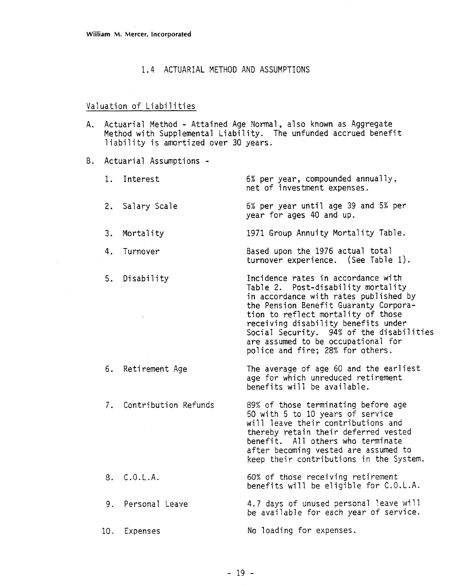#### 1.4 ACTUARIAL METHOD AND ASSUMPTIONS

### Valuation of Liabilities

A. Actuarial Method - Attained Age Normal, also known as Aggregate Method with Supplemental Liability. The unfunded accrued benefit liability is amortized over 30 years.

B. Actuarial Assumptions -

4. Turnover

5. Disability

- 1. Interest 6% per year, compounded annually, net of investment expenses.
- 2. Salary Scale 6% per year until age 39 and 5% per year for ages 40 and up.
- **3. Mortality 1971 Group Annuity Mortality Table.**

Based upon the 1976 actual total turnover experience. (See Table I).

Incidence rates in accordance with Table 2. Post-disability mortality in accordance with rates published by the Pension Benefit Guaranty Corporation to reflect mortality of those<br>receiving disability benefits under Social Security. 94% of the disabilities are assumed to be occupational for pol ice and fire; 28% for others.

The average of age 60 and the earliest age for which unreduced retirement benefits will be available.

. Contribution Refunds 89% of those terminating before age 50 with 5 to 10 years of service will leave their contributions and thereby retain their deferred vested benefit. All others who terminate after becoming vested are assumed to keep their contributions in the System.

> 60% of those receiving retirement benefits will be eligible for C.O.L.A.

> 4.7 days of unused personal leave wi 11 be available for each year of service.

No loading for expenses.

6. Retirement Age

8. C.O.L.A.

9. Personal Leave

10. Expenses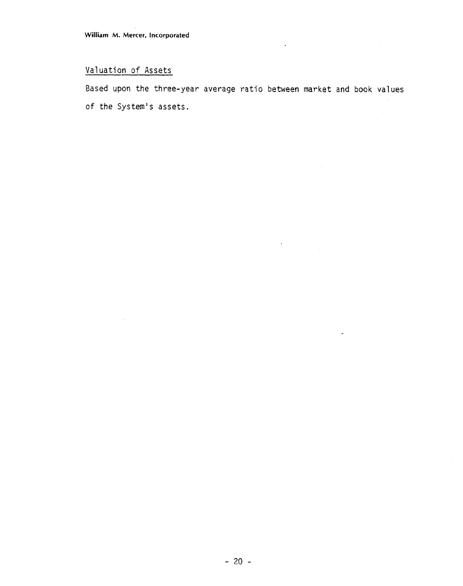# Valuation of Assets

Based upon the three-year average ratio between market and book values of the System's assets.

 $\tilde{\chi}$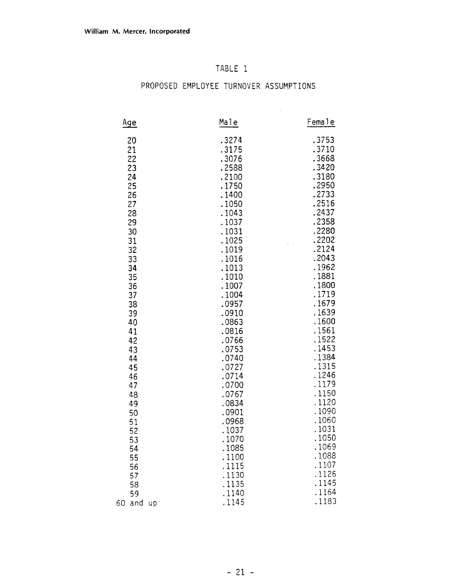## TABLE 1

# PROPOSED EMPLOYEE TURNOVER ASSUMPTIONS

 $\sim 10^7$ 

| <u>Age</u>      | Male           | Female         |
|-----------------|----------------|----------------|
| 20              | .3274          | .3753          |
| 21              | .3175          | .3710          |
| 22              | .3076          | .3668          |
| 23              | .2588          | .3420          |
| 24              | .2100          | .3180          |
| 25              | .1750          | .2950          |
| 26              | .1400          | .2733          |
| 27              | .1050          | .2516          |
| 28              | .1043          | .2437          |
| 29              | .1037          | .2358          |
| 30              | .1031          | .2280          |
| 31              | .1025          | .2202          |
| 32              | .1019          | .2124          |
| 33              | .1016          | .2043          |
| 34              | .1013          | .1962          |
| 35              | .1010          | .1881          |
| 36              | .1007          | .1800          |
| 37              | .1004          | .1719          |
| 38              | .0957          | .1679          |
| 39              | .0910          | .1639          |
| 40              | .0863          | .1600          |
| 41              | .0816          | .1561<br>.1522 |
| 42              | .0766          | .1453          |
| 43              | .0753<br>.0740 | .1384          |
| 44<br>45        | .0727          | .1315          |
| 46              | .0714          | .1246          |
| 47              | .0700          | .1179          |
| 48              | .0767          | .1150          |
| 49              | .0834          | .1120          |
| 50              | .0901          | .1090          |
| 51              | .0968          | .1060          |
| 52              | .1037          | .1031          |
| 53              | .1070          | .1050          |
| 54              | .1085          | .1069          |
| 55              | .1100          | .1088          |
| 56              | .1115          | .1107          |
| 57              | .1130          | .1126          |
| 58              | .1135          | .1145          |
| 59              | .1140          | .1164          |
| 60<br>and<br>up | .1145          | .1183          |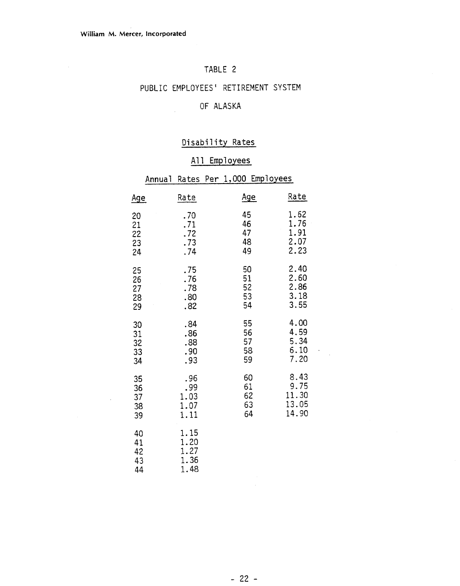$\sim$   $\sim$ 

## TABLE 2

## PUBLIC EMPLOYEES' RETIREMENT SYSTEM

## OF ALASKA

## Disability Rates

## All Employees

|                            | All Employees                        |                            |                                         |  |  |  |
|----------------------------|--------------------------------------|----------------------------|-----------------------------------------|--|--|--|
|                            | Annual Rates                         | Per 1,000 Employees        |                                         |  |  |  |
| <u>Age</u>                 | Rate                                 | <u>Age</u>                 | Rate                                    |  |  |  |
| 20<br>21<br>22<br>23<br>24 | .70<br>.71<br>.72<br>.73<br>.74      | 45<br>46<br>47<br>48<br>49 | 1.62<br>1.76<br>1.91<br>2.07<br>2.23    |  |  |  |
| 25<br>26<br>27<br>28<br>29 | .75<br>.76<br>.78<br>.80<br>.82      | 50<br>51<br>52<br>53<br>54 | 2.40<br>2.60<br>2.86<br>3.18<br>3.55    |  |  |  |
| 30<br>31<br>32<br>33<br>34 | .84<br>.86<br>.88<br>.90<br>.93      | 55<br>56<br>57<br>58<br>59 | 4.00<br>4.59<br>5.34<br>6.10<br>7.20    |  |  |  |
| 35<br>36<br>37<br>38<br>39 | .96<br>.99<br>1.03<br>1.07<br>1.11   | 60<br>61<br>62<br>63<br>64 | 8.43<br>9.75<br>11.30<br>13.05<br>14.90 |  |  |  |
| 40<br>41<br>42<br>43<br>44 | 1.15<br>1.20<br>1.27<br>1.36<br>1.48 |                            |                                         |  |  |  |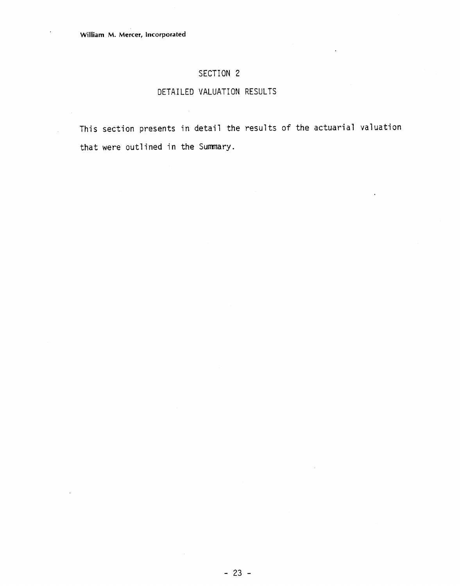## SECTION 2

## DETAILED VALUATION RESULTS

This section presents in detail the results of the actuarial valuation that were outlined in the Summary.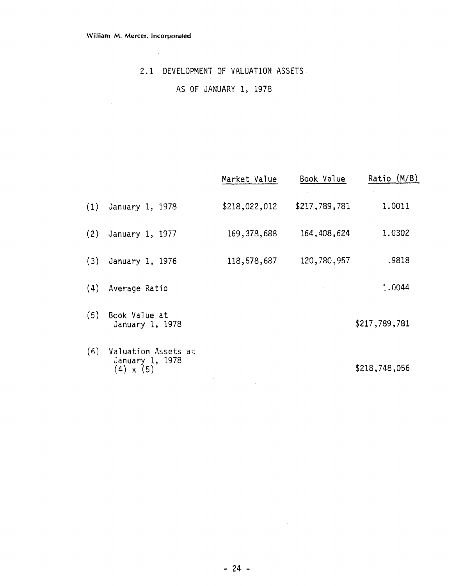$\bar{\mathcal{A}}$ 

 $\sim 10^{-1}$ 

## **2.1 DEVELOPMENT OF** VALUATION ASSETS

## **AS OF** JANUARY **1, 1978**

|     |                                                            | Market Value  | Book Value    | Ratio $(M/B)$ |
|-----|------------------------------------------------------------|---------------|---------------|---------------|
| (1) | January 1, 1978                                            | \$218,022,012 | \$217,789,781 | 1.0011        |
| (2) | January 1, 1977                                            | 169, 378, 688 | 164,408,624   | 1.0302        |
| (3) | January 1, 1976                                            | 118,578,687   | 120,780,957   | .9818         |
| (4) | Average Ratio                                              |               |               | 1.0044        |
| (5) | Book Value at<br>January 1, 1978                           |               |               | \$217,789,781 |
| (6) | Valuation Assets at<br>January 1, 1978<br>$(4) \times (5)$ |               |               | \$218,748,056 |

 $\sim 10^{-11}$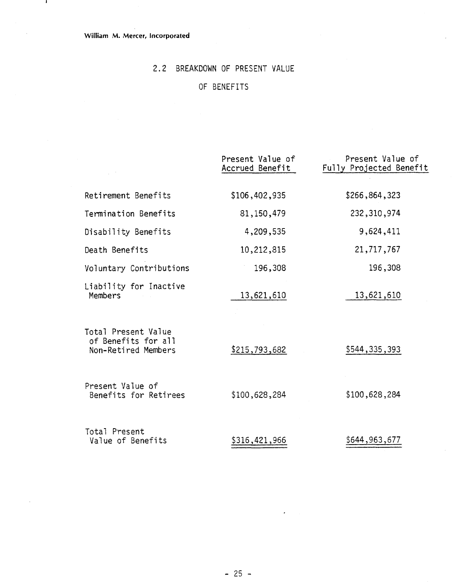$\mathbf{I}$ 

## 2.2 BREAKDOWN OF PRESENT VALUE

## OF BENEFITS

|                                                                   | Present Value of<br>Accrued Benefit | Present Value of<br>Fully Projected Benefit |
|-------------------------------------------------------------------|-------------------------------------|---------------------------------------------|
| Retirement Benefits                                               | \$106,402,935                       | \$266,864,323                               |
| Termination Benefits                                              | 81,150,479                          | 232,310,974                                 |
| Disability Benefits                                               | 4,209,535                           | 9,624,411                                   |
| Death Benefits                                                    | 10,212,815                          | 21,717,767                                  |
| Voluntary Contributions                                           | 196,308                             | 196,308                                     |
| Liability for Inactive<br>Members                                 | 13,621,610                          | 13,621,610                                  |
| Total Present Value<br>of Benefits for all<br>Non-Retired Members | \$215,793,682                       | \$544,335,393                               |
| Present Value of<br>Benefits for Retirees                         | \$100,628,284                       | \$100,628,284                               |
| Total Present<br>Value of Benefits                                | \$316,421,966                       | \$644,963,677                               |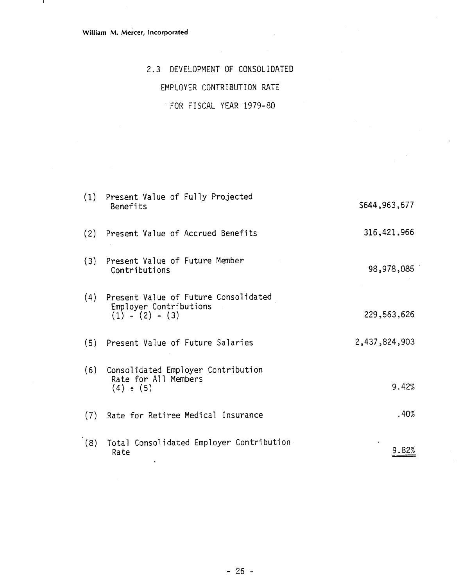$\blacksquare$ 

# 2.3 DEVELOPMENT OF CONSOLIDATED EMPLOYER CONTRIBUTION RATE FOR FISCAL YEAR 1979-80

|     | (1) Present Value of Fully Projected<br>Benefits                                        | \$644,963,677 |
|-----|-----------------------------------------------------------------------------------------|---------------|
|     | (2) Present Value of Accrued Benefits                                                   | 316, 421, 966 |
| (3) | Present Value of Future Member<br>Contributions                                         | 98,978,085    |
|     | (4) Present Value of Future Consolidated<br>Employer Contributions<br>$(1) - (2) - (3)$ | 229,563,626   |
|     | (5) Present Value of Future Salaries                                                    | 2,437,824,903 |
|     | (6) Consolidated Employer Contribution<br>Rate for All Members<br>$(4) \div (5)$        | 9.42%         |
|     | (7) Rate for Retiree Medical Insurance                                                  | .40%          |
| (8) | Total Consolidated Employer Contribution<br>Rate                                        | 9.82%         |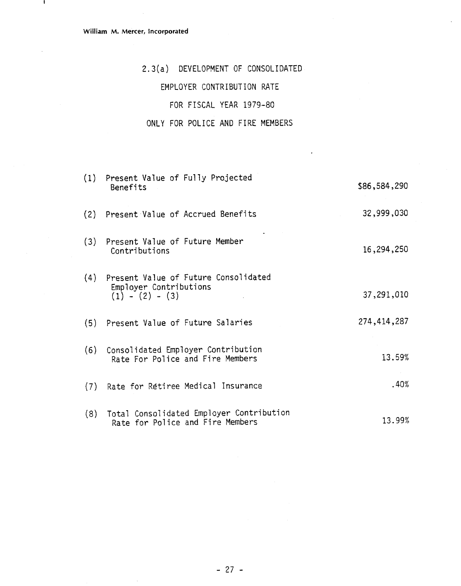$\overline{1}$ 

# 2.3(a) DEVELOPMENT OF CONSOLIDATED

## EMPLOYER CONTRIBUTION RATE

## FOR FISCAL YEAR 1979-80

## ONLY FOR POLICE AND FIRE MEMBERS

|     | (1) Present Value of Fully Projected<br>Benefits                                    | \$86,584,290 |
|-----|-------------------------------------------------------------------------------------|--------------|
|     | (2) Present Value of Accrued Benefits                                               | 32,999,030   |
|     | (3) Present Value of Future Member<br>Contributions                                 | 16,294,250   |
| (4) | Present Value of Future Consolidated<br>Employer Contributions<br>$(1) - (2) - (3)$ | 37,291,010   |
|     | (5) Present Value of Future Salaries                                                | 274,414,287  |
|     | (6) Consolidated Employer Contribution<br>Rate For Police and Fire Members          | 13.59%       |
|     | (7) Rate for Retiree Medical Insurance                                              | .40%         |
|     | (8) Total Consolidated Employer Contribution<br>Rate for Police and Fire Members    | 13.99%       |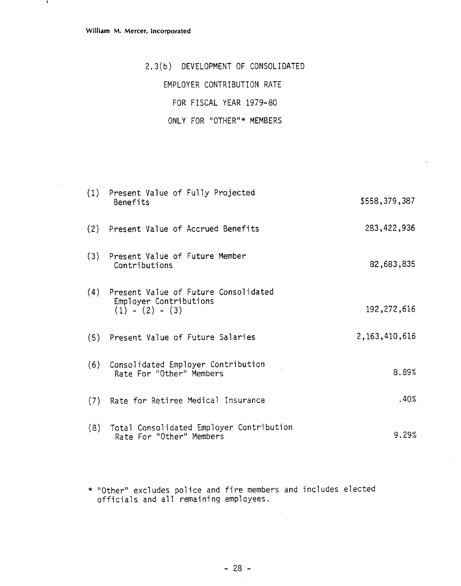$\mathbf{I}$ 

2.3 (b) DEVELOPMENT OF CONSOLIDATED

EMPLOYER CONTRIBUTION RATE

FOR FISCAL YEAR 1979-80

## **ONLY** FOR "OTHER"\* MEMBERS

|     | (1) Present Value of Fully Projected<br>Benefits                                        | \$558,379,387    |
|-----|-----------------------------------------------------------------------------------------|------------------|
|     | (2) Present Value of Accrued Benefits                                                   | 283, 422, 936    |
| (3) | Present Value of Future Member<br>Contributions                                         | 82,683,835       |
|     | (4) Present Value of Future Consolidated<br>Employer Contributions<br>$(1) - (2) - (3)$ | 192, 272, 616    |
|     | (5) Present Value of Future Salaries                                                    | 2, 163, 410, 616 |
|     | (6) Consolidated Employer Contribution<br>Rate For "Other" Members                      | 8.89%            |
| (7) | Rate for Retiree Medical Insurance                                                      | .40%             |
| (8) | Total Consolidated Employer Contribution<br>Rate For "Other" Members                    | 9.29%            |

\* "Other" excludes police and fire members and includes elected officials and a71 remaining employees.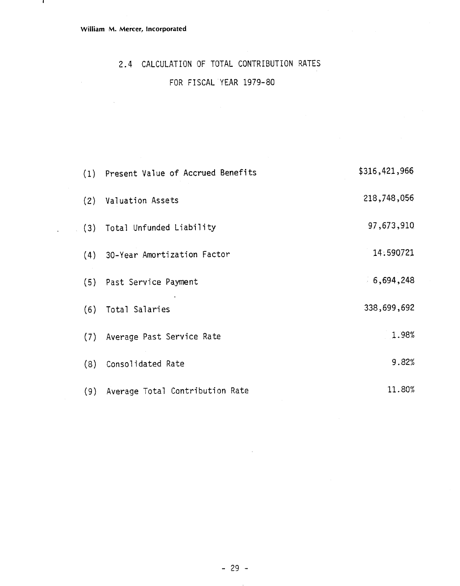$\sim 10^7$ 

 $\mathbf{I}$ 

# 2.4 CALCULATION OF TOTAL CONTRIBUTION RATES

## FOR FISCAL YEAR 1979-80

|     | (1) Present Value of Accrued Benefits | \$316,421,966 |
|-----|---------------------------------------|---------------|
| (2) | Valuation Assets                      | 218,748,056   |
| (3) | Total Unfunded Liability              | 97,673,910    |
| (4) | 30-Year Amortization Factor           | 14.590721     |
| (5) | Past Service Payment                  | 6,694,248     |
| (6) | Total Salaries                        | 338,699,692   |
| (7) | Average Past Service Rate             | 1.98%         |
| (8) | Consolidated Rate                     | 9.82%         |
| (9) | Average Total Contribution Rate       | 11.80%        |

 $\sim$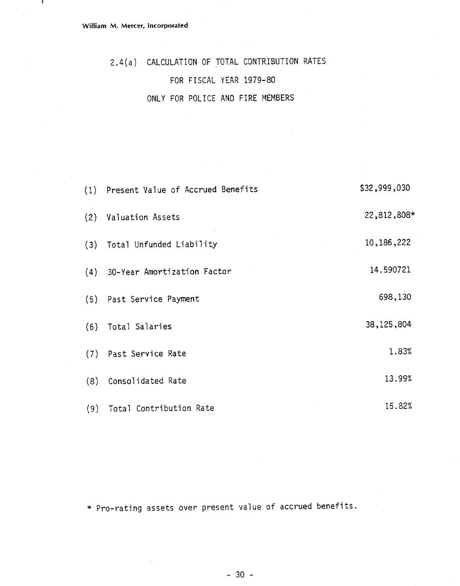$\mathbf{1}$ 

2.4(a) CALCULATION OF TOTAL CONTRIBUTION RATES FOR FISCAL YEAR 1979-80 ONLY FOR POLICE AND FIRE MEMBERS

|     | (1) Present Value of Accrued Benefits | \$32,999,030 |
|-----|---------------------------------------|--------------|
|     | (2) Valuation Assets                  | 22,812,808*  |
|     | (3) Total Unfunded Liability          | 10, 186, 222 |
|     | (4) 30-Year Amortization Factor       | 14.590721    |
|     | (5) Past Service Payment              | 698,130      |
| (6) | Total Salaries                        | 38, 125, 804 |
|     | (7) Past Service Rate                 | 1.83%        |
| (8) | Consolidated Rate                     | 13.99%       |
| (9) | Total Contribution Rate               | 15.82%       |

\* Pro-rating assets over present value of accrued benefits.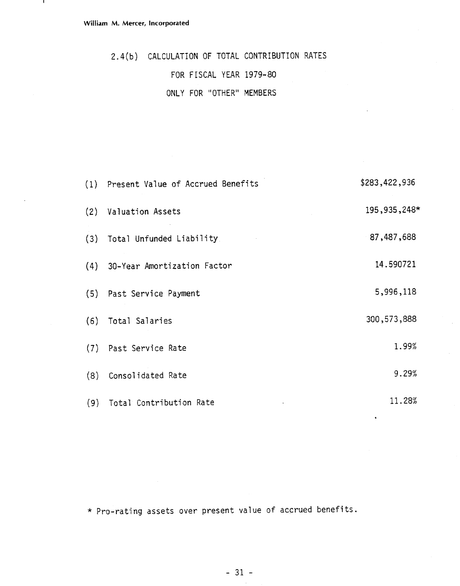- 1

2.4(b) CALCULATION OF TOTAL CONTRIBUTION RATES FOR FISCAL YEAR 1979-80 ONLY FOR "OTHER" MEMBERS

|     | (1) Present Value of Accrued Benefits | \$283,422,936  |
|-----|---------------------------------------|----------------|
|     | (2) Valuation Assets                  | 195, 935, 248* |
|     | (3) Total Unfunded Liability          | 87,487,688     |
|     | (4) 30-Year Amortization Factor       | 14.590721      |
|     | (5) Past Service Payment              | 5,996,118      |
|     | (6) Total Salaries                    | 300, 573, 888  |
|     | (7) Past Service Rate                 | 1.99%          |
| (8) | Consolidated Rate                     | 9.29%          |
| (9) | Total Contribution Rate               | 11.28%         |

\* Pro-rating assets over present value of accrued benefits.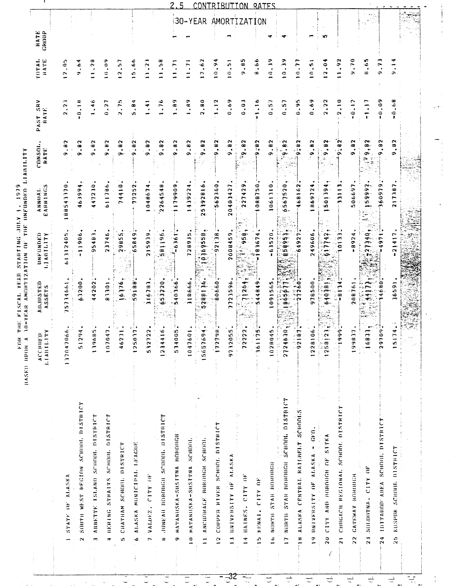| $\mathbf{a}$<br>514005<br>$\ddot{\bullet}$<br>$\frac{4}{3}$<br>$\frac{6}{1}$<br>$\approx$ $\approx$<br>$\ddot{\bullet}$<br>F<br>$\frac{4}{3}$<br>$\overline{2}$<br>$\overline{z}$<br>1047601<br>1070<br>156576<br>ACCHI<br>1370470<br>$\frac{2}{5}$<br>462<br>1250<br>5327<br>12344<br>$1.1$ All $11$<br>191<br>SOUTH WEST REGION SCHOOL DISTRICT<br>4 BERING STRAITS SCHOOL DISTRICT<br>JUNEAU BOROBGH SCHOOL DISTRICT<br>ANNETTE ISLAND SCHOOL DISTRICT<br>MATANIISKA-SUSTTNA HOROUGHT<br>ALASKA MUNICIPAL LEAGUE<br>10 MATANUSKA-SUSTTNA SCHOOL<br>ANCHIORAGE BOROHGH SCHOOL<br>CHATHAM SCHOOL DISTRICT<br>STATE OF ALASKA<br>VALDEZ. CITY OF<br>'n<br>¢<br>œ<br>$\bullet$<br>$\equiv$<br>$\ddot{\phantom{1}}$<br>$\overline{ }$<br>$\sim$<br>- | ADJUSTED<br>ASSETS<br>63200<br>44202<br>91.69<br>5734661<br>83301 | UNFUNDED<br>LIABILITY              | EARNINGS<br>ANNIJAI. | $OMSOL$ .<br>RATE                                                                                             | PAST SRV<br>RATE.    | roral.<br>RATE                 | RATE<br>GROUP |
|----------------------------------------------------------------------------------------------------------------------------------------------------------------------------------------------------------------------------------------------------------------------------------------------------------------------------------------------------------------------------------------------------------------------------------------------------------------------------------------------------------------------------------------------------------------------------------------------------------------------------------------------------------------------------------------------------------------------------------------------------|-------------------------------------------------------------------|------------------------------------|----------------------|---------------------------------------------------------------------------------------------------------------|----------------------|--------------------------------|---------------|
|                                                                                                                                                                                                                                                                                                                                                                                                                                                                                                                                                                                                                                                                                                                                                    |                                                                   |                                    |                      |                                                                                                               |                      |                                |               |
|                                                                                                                                                                                                                                                                                                                                                                                                                                                                                                                                                                                                                                                                                                                                                    |                                                                   | 1312405                            | 88543370             | .82<br>œ,                                                                                                     | ~<br>2.2             | $\ddot{\circ}$<br>$\sim$       |               |
|                                                                                                                                                                                                                                                                                                                                                                                                                                                                                                                                                                                                                                                                                                                                                    |                                                                   | 11906.                             | 46399                | .8 <sub>2</sub><br>ው                                                                                          | $\frac{4}{1}$        | .64<br>÷                       |               |
|                                                                                                                                                                                                                                                                                                                                                                                                                                                                                                                                                                                                                                                                                                                                                    |                                                                   | 95483                              | 447230               | 9.82                                                                                                          | .46                  | 1.28                           |               |
|                                                                                                                                                                                                                                                                                                                                                                                                                                                                                                                                                                                                                                                                                                                                                    |                                                                   | 23746.                             | 984119               | $\ddot{H}$ .<br>ው                                                                                             | 0.27                 | 10.09                          |               |
|                                                                                                                                                                                                                                                                                                                                                                                                                                                                                                                                                                                                                                                                                                                                                    |                                                                   | 29855                              | 74410                | .82<br>$\bullet$                                                                                              | 2.75                 | 12,57                          |               |
|                                                                                                                                                                                                                                                                                                                                                                                                                                                                                                                                                                                                                                                                                                                                                    | 59188                                                             | 65849.                             | 77252                | .82<br>Ģ.                                                                                                     | 5.84                 | .66<br>G,                      |               |
|                                                                                                                                                                                                                                                                                                                                                                                                                                                                                                                                                                                                                                                                                                                                                    | 16783                                                             | 215919                             | ٠<br>04867           | .82<br>ô                                                                                                      | $\ddot{•}$           | 11.2                           |               |
|                                                                                                                                                                                                                                                                                                                                                                                                                                                                                                                                                                                                                                                                                                                                                    | 653220                                                            | 581196                             | 2264548              | $\sim$<br>؋<br>œ                                                                                              | .76                  | ់                              |               |
|                                                                                                                                                                                                                                                                                                                                                                                                                                                                                                                                                                                                                                                                                                                                                    | 540366                                                            | $-6.361$                           | 1179909              | 9.82                                                                                                          | .89                  | 11.71                          |               |
|                                                                                                                                                                                                                                                                                                                                                                                                                                                                                                                                                                                                                                                                                                                                                    | 318666                                                            | 728935                             | ᡇ<br>43922           | .82<br>o                                                                                                      | $\ddot{e}$           | $\bar{z}$                      |               |
|                                                                                                                                                                                                                                                                                                                                                                                                                                                                                                                                                                                                                                                                                                                                                    | 240136<br>w                                                       | $\bullet$<br>0169558               | 5392816<br>$\sim$    | .82<br>۰                                                                                                      | 2.80                 | 12.62                          | 30-YEAR       |
| ≆<br>1727<br>COPPER NIVER SCHOOL DISTRICT<br>$\frac{1}{2}$                                                                                                                                                                                                                                                                                                                                                                                                                                                                                                                                                                                                                                                                                         | 89908                                                             | 92138                              | 562360               | .82<br>۰                                                                                                      | $\frac{3}{2}$        | e<br>$\frac{1}{2}$             |               |
| 9732055<br>UNIVERSITY OF ALASKA<br>$\mathbf{r}$                                                                                                                                                                                                                                                                                                                                                                                                                                                                                                                                                                                                                                                                                                    | 7723596                                                           | 2008459                            | ٣<br>2040342         | 9.82                                                                                                          | 0.69                 | 10.51                          |               |
| $\overline{2}$<br>722<br>14 HAINES. CITY OF                                                                                                                                                                                                                                                                                                                                                                                                                                                                                                                                                                                                                                                                                                        | $\frac{1}{26}$                                                    | 958,                               | 227429               | 68.65                                                                                                         | 0.03                 | 9.85                           | AMORTIZATION  |
| u,<br>ے .<br>$-361$<br>15 KENAI, CITY OF                                                                                                                                                                                                                                                                                                                                                                                                                                                                                                                                                                                                                                                                                                           | 44849<br>w.                                                       | 83674                              | 088750               | 9:82                                                                                                          | $\frac{1}{2}$        | 8.66                           |               |
| 45<br>102B0<br>16 NORTH STAR BOROBGH                                                                                                                                                                                                                                                                                                                                                                                                                                                                                                                                                                                                                                                                                                               | 091565                                                            | $-63520$                           | 1061310              | $\ddot{e}$<br>ä                                                                                               | 0.57                 | $\frac{9}{1}$<br>$\Rightarrow$ |               |
| ξ<br>27246<br>17 NORTH STAR BOROUGH SCHOOL DISTRICT<br>$\frac{1}{2}$                                                                                                                                                                                                                                                                                                                                                                                                                                                                                                                                                                                                                                                                               | 186567                                                            | G<br>8599                          | 6567520              | 9.82                                                                                                          | 0.57                 | $\frac{3}{2}$<br>$\bullet$     |               |
| 87<br>$-921$<br><b>18 ALASKA CENTRAL RATLIBELT SCHOOLS</b>                                                                                                                                                                                                                                                                                                                                                                                                                                                                                                                                                                                                                                                                                         | 27260                                                             | 64927                              | 468162               | 9.82                                                                                                          | 0.95                 | $\frac{1}{2}$                  |               |
| å<br>12281<br>19 UNIVERSITY OF ALASKA - GEO.                                                                                                                                                                                                                                                                                                                                                                                                                                                                                                                                                                                                                                                                                                       | 978500                                                            | 249606                             | ╺<br>86972           | .82<br>؋                                                                                                      | 0.69                 | 0.51                           |               |
| $\overline{2}$<br>$\frac{1}{2581}$<br>CITY AND HOROUGH OF SITKA<br>$\frac{1}{2}$                                                                                                                                                                                                                                                                                                                                                                                                                                                                                                                                                                                                                                                                   | 640381                                                            | 617742,                            | $\bullet$<br>50119   | .92<br>¢                                                                                                      | 2.22                 | $\frac{1}{2}$                  | ١O.           |
| \$<br>ŗ<br>21 CHUCACH REGIONAL SCHOOL DISTRICT                                                                                                                                                                                                                                                                                                                                                                                                                                                                                                                                                                                                                                                                                                     | $-8124$                                                           | 0133                               | 3113                 | 9.82                                                                                                          | 2.10                 | .92<br>÷                       |               |
| Ξ<br>1998<br><b>GATEWAY MANUTICH</b><br>$\frac{2}{2}$                                                                                                                                                                                                                                                                                                                                                                                                                                                                                                                                                                                                                                                                                              | 20876                                                             | 8924                               | 506697               | $\ddot{a}$<br>÷                                                                                               | 0.12                 | 0.70                           |               |
| يتسا<br>168<br>SOLOOTNA. CITY OF<br>$\frac{3}{2}$                                                                                                                                                                                                                                                                                                                                                                                                                                                                                                                                                                                                                                                                                                  | =<br>=                                                            | $\frac{1}{2}$<br>جملته             | 26669                | 9,82<br>$\widetilde{V}$<br>$\widetilde{\mathcal{L}}_{\widetilde{\mathcal{L}}_{\widetilde{\mathcal{L}}}}$<br>实 | $\ddot{\phantom{0}}$ | 8,65                           |               |
| $\tilde{\mathbf{s}}$<br>297<br>IDITAROD" AREA' SCHOOLT DISTRICT<br>$\frac{3}{2}$                                                                                                                                                                                                                                                                                                                                                                                                                                                                                                                                                                                                                                                                   | 680                                                               | ٣<br>ە                             | 360979               | .82<br>G.                                                                                                     | $-0.09$              | 9.73                           |               |
| $\overline{1}$<br>$\overline{151}$<br>KUSPUK SCHOOL OISTRICT<br>36<br>N                                                                                                                                                                                                                                                                                                                                                                                                                                                                                                                                                                                                                                                                            | 659                                                               | $\ddot{•}$<br>$\mathbf{\tilde{c}}$ | 217387               | .82                                                                                                           | .68<br>ຸ             | $\frac{1}{2}$                  |               |
|                                                                                                                                                                                                                                                                                                                                                                                                                                                                                                                                                                                                                                                                                                                                                    |                                                                   |                                    |                      |                                                                                                               |                      |                                |               |

 $-32 =$ 

 $\overline{z}$ 

 $\overline{C}$ 

 $\frac{1}{2}$ 

 $\hat{\mathcal{A}}$ 

 $\overline{C}$ 

Ţ

 $\frac{1}{2}$ 

 $\frac{1}{\sqrt{2}}$ 

 $\overline{z}$ 

 $\Delta E$ 

 $\begin{array}{c} \hline \hline \end{array}$ 

 $\rightarrow$ 

 $\overline{t}$ 

 $\Delta \phi$  .

 $\overline{z}$ 

 $\mathbf{A}^{\dagger}$ 

 $\ddot{\phantom{a}}$ 

 $\begin{array}{c|c}\n\hline\n\downarrow & \downarrow \\
\hline\n\downarrow & \downarrow \\
\hline\n\downarrow & \downarrow \\
\hline\n\downarrow & \downarrow\n\end{array}$ 

 $\frac{8}{2}$ 

 $\begin{picture}(20,20) \put(0,0){\line(1,0){10}} \put(15,0){\line(1,0){10}} \put(15,0){\line(1,0){10}} \put(15,0){\line(1,0){10}} \put(15,0){\line(1,0){10}} \put(15,0){\line(1,0){10}} \put(15,0){\line(1,0){10}} \put(15,0){\line(1,0){10}} \put(15,0){\line(1,0){10}} \put(15,0){\line(1,0){10}} \put(15,0){\line(1,0){10}} \put(15,0){\line(1$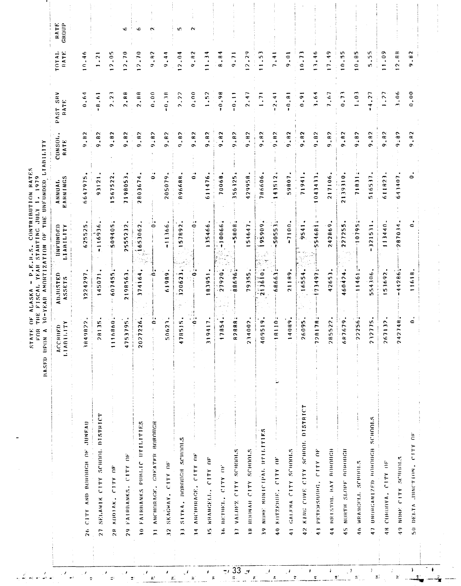|                                                     | 1.1TY<br>URD<br><b>ACCB</b><br>1.1AB1 | <b>ADJUSTED</b><br>ASSETS      | UNFUNDED<br>LIARILITY                                    | EARNINGS<br>ANUAL.                | CONSOL<br>RATE   | PAST SRV<br>RATE                    | TOTAL<br>RATE                   | <b>RATE</b><br>GROUP |
|-----------------------------------------------------|---------------------------------------|--------------------------------|----------------------------------------------------------|-----------------------------------|------------------|-------------------------------------|---------------------------------|----------------------|
| 26 CITY AND BOROUGH OF JUNEAU                       | 9822<br>384                           | 1224297                        | 625525                                                   | 6647975                           | 9.82             | 0.64                                | $10 - 46$                       |                      |
| SELANIK CITY SCHOOL DISTRICT<br>$\overline{27}$     | 8135                                  | 145071                         | -116936                                                  | 93121                             | 9.82             | 6.61                                | 1.21                            |                      |
| KODIAK, CITY OF<br>2e                               | 6860.<br>$\Xi$                        | 607455                         | $\blacksquare$<br>509405                                 | 567522<br>٠                       | 9.82             | 2.23                                | 12,05                           |                      |
| FAIRBANKS. CITY OF<br>$\frac{9}{2}$                 | 3795<br>475                           | 198563<br>$\ddot{\phantom{1}}$ | 2555232                                                  | m<br>719805                       | 9.82             | $\ddot{B}$<br>$\tilde{\phantom{a}}$ | 12.70                           | $\,$ t<br>с          |
| 30 FAIRBANKS PHBLIC UTILITIES                       | 7226<br>202                           | ٠<br>374164                    | 1653062<br>14 E<br>$\frac{1}{2} \frac{1}{2} \frac{1}{2}$ | 2803674                           | 9.82             | 2.88                                | 12.70                           | c                    |
| ANCHORAGE, CREATER BOROUGH<br>$\overline{z}$        | $\ddot{0}$                            | ان<br>ح                        | ွ                                                        | $\cdot$ .<br>$\bullet$            | 9.82             | 0.00,                               | 9,82                            | $\mathbf{\tilde{c}}$ |
| SKAGWAY, CITY OF<br>$\frac{2}{3}$                   | 0623<br>W,                            | 61989                          | $-11366$                                                 | 205079                            | 9.82             | 0.38                                | 9.44                            |                      |
| SITKA, BOBOUGH SCHOOLS<br>$\ddot{r}$                | 8515<br>5                             | 120623.                        | 57892                                                    | 896688                            | 9.82             | 2.22                                | 2.04                            | w.                   |
| 34 ANCHORAGE, CITY OF                               | $\ddot{\bullet}$                      | 0                              | - 0<br>$\bullet$                                         | $\epsilon$<br>¢                   | 9.82             | 0.0000                              | 9.82                            | $\sim$               |
| AS WRANGELISTS                                      | 9417<br>m                             | 83951                          | 135466                                                   | 611476                            | 9.82             | $1\,\square\,5.2$                   | 1.34                            |                      |
| <b>36 BETHEL, CITY OF</b>                           | 7854                                  | 27920                          | $-10066$                                                 | 70068                             | 9.82             | $-0.98$                             | $\ddot{a} \cdot \ddot{a}$       |                      |
| 37 VALUEZ CITY SCHILLES                             | $\ddot{\phantom{0}}$<br>2888          | 88696;                         | $-5008$                                                  | 356325                            | 9.82             | II.<br>I                            | $\ddot{ }$<br>¢.                |                      |
| <b>38 HOONAL CITY SCHOOLS</b>                       | 4002<br>్ష                            | 79355                          | 54647                                                    | 429958                            | 9.82             | 2.47                                | 2.29                            |                      |
| 39 NOME NONTCTPAL OTTILITIES                        | $\bullet$<br>9519.<br>$\frac{6}{4}$   | 213610                         | 95909<br>Ω,                                              | 786606                            | 9.82             | 1.71                                | 11,53                           |                      |
| $\frac{1}{2}$<br>KUTZEMUE, CITY OF<br>$\frac{1}{9}$ | ×.<br>8110                            | 68663                          | 50553                                                    | 143512                            | 9.82             | $-2.41$                             | 7:41                            |                      |
| 41 GALEN CENTLE AND ALLE                            | 4089.                                 | 21189                          | $-7100$                                                  | 59807                             | 9.82             | $\frac{1}{2}$                       | 0.01                            |                      |
| KING COVE CITY SCHOOL DISTRICT<br>$\frac{2}{9}$     | 6095                                  | 16554                          | 9541                                                     | 71941                             | 9.82             | 0.91                                | 10.73                           |                      |
| 43 PETERSBURG, CITY OF                              | $\mathbf{1}$<br>8178<br>72            | ÷,<br>$-73497$                 | ×<br>54681<br>t.                                         | 043433                            | 9.82             | 1.64                                | 13:46                           |                      |
| 44 BRISTOL BAY BOROUGH                              | 5522<br>$\frac{a}{2}$                 | 4265)                          | 42869<br>$\sim$                                          | ٠<br>21710                        | 9.82             | 7.67                                | $\frac{9}{4}$<br>$\bullet$<br>Ē |                      |
| NURTH SLOPE BOROUGH<br>$\frac{6}{4}$                | 687679                                | 460424                         | K)<br>22725                                              | 2139310                           | 9.82             | 0.73                                | 10.35                           |                      |
| WRANGELL SCHOOLS<br>ç                               | $^{\ast}$<br>2256.                    | 11461                          | j.<br>$-10795$                                           | i.<br>71831                       | 9:82             | $\ddot{.}0\ddot{.}$                 | $0.185$                         |                      |
| 47 UNORGANIZED BOROUGH SCHOOLS                      | 232775                                | 554306                         | 321531                                                   | 516537                            | 9.82             | 4.27                                | 5.55<br>÷                       |                      |
| 48 CORONA (TV DE                                    | 267132                                | 153692                         | 113440                                                   | $\overline{\phantom{a}}$<br>61182 | .82<br>$\bullet$ | 1,77                                | 11.09                           |                      |
| 49 NONE CITY SCHOOLS                                | 2748<br>$\tilde{c}$                   | $-44286$                       | 287034                                                   | 641407                            | 9.82             | 3.06                                | 12.88                           |                      |
| 50 DELTA JUNCTION, CITY OF                          | $\mathbf{\mathsf{C}}$                 |                                |                                                          |                                   | 9.82             | 0.000                               | 9.82                            |                      |

 $\frac{1}{\sqrt{2}}$ 

 $\bar{\mathbf{y}}$ 

 $\mathbf{R}$ 

 $\pmb{\ast}$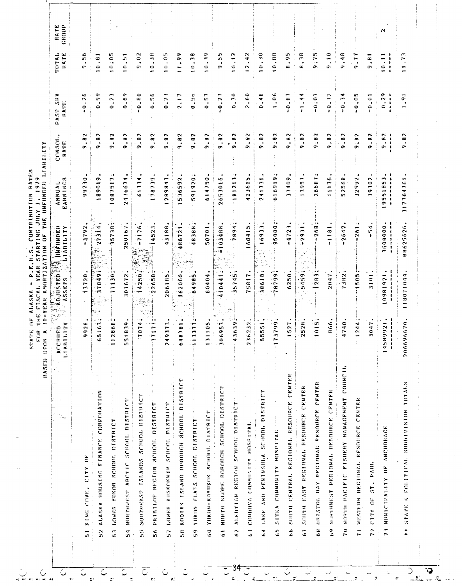|                                                            | TTY<br>ACCRUED<br>LIABIL                                                                      | Angusten 13%<br>ASSETS            | <b>MAFUNDED</b><br>LIABILITY  | EARNINGS<br>ANNUAL                                                                | <b>CONSOL</b><br>RATE:                                  | PAST SRV<br><b>RATE</b>                      | TOTAL<br>RATE           | RATE<br>GROUP |
|------------------------------------------------------------|-----------------------------------------------------------------------------------------------|-----------------------------------|-------------------------------|-----------------------------------------------------------------------------------|---------------------------------------------------------|----------------------------------------------|-------------------------|---------------|
| KING COVE, CITY OF<br>$\frac{1}{2}$                        | 9928                                                                                          | 13720.                            | $-3792$                       | 99230                                                                             | 9.82                                                    | $-0.26$                                      | 9.56                    |               |
| ALASKA HOUSTNG FINANCE CORPORATION<br>52                   | $\frac{1}{2}$<br>6S                                                                           | 178491                            | 27314                         | 189019                                                                            | .82<br>$\sigma$                                         | 0.99                                         | 0.81                    |               |
| LOWER YOKON SCHOOL DISTRICT<br>$\frac{1}{5}$               | 868 <sup>2</sup><br>$\frac{1}{2}$                                                             | 771302                            | $-357387$                     | $\ddot{\phantom{1}}$<br>1087517                                                   | 9.82                                                    | 0.73                                         | 10.105                  |               |
| NURTHWEST ARCTIC SCHOOL DISTRICT<br>54                     | 551839                                                                                        | 301672                            | 750167                        | ٠<br>47667<br>$\rightarrow$                                                       | 9.82                                                    | 0.69                                         | $\frac{5}{10}$          |               |
| SOUTHEAST ISLAMDS SCHOOL DISTRICT<br>in<br>In              | 074.<br>$\mathbf{C}$                                                                          | 4250.                             | $-71176$                      | 61334                                                                             | .82<br>െ                                                | $-0.80$                                      | 9.02                    |               |
| PRINTLOF REGION SCHOOL DISTRICT<br>56                      | $\frac{1}{2}$<br>$\overline{\phantom{a}}$<br>$\mathbf{r}$                                     | $22650 -$                         | $\ddot{\phantom{0}}$<br>4523  | $\pm$<br>178735                                                                   | 9.82                                                    | 0.56                                         | $10 - 38$               |               |
| LOWER KUSKOKWIM SCHOOL DISTRICT<br>57                      | 373.<br>249                                                                                   | 206185                            | 43188                         | $\overline{\phantom{a}}$<br>28984                                                 | 9.82                                                    | 0.23                                         | $10 - 05$               |               |
| KODIAK ISLAND BOROUGH SCHOOL DISTRICT<br>$\frac{8}{2}$     | 781.<br>648                                                                                   | 162060.                           | 486721                        | 536592                                                                            | 9.82                                                    | $\ddot{\phantom{0}}$<br>$\ddot{\phantom{1}}$ | 11.99                   |               |
| YUKON FLATS SCHOOL DISTRICT<br>$\frac{9}{5}$               | $\mathbf{m}$<br>$\frac{1}{2}$                                                                 | 64985                             | $\cdot$ .<br>48388<br>3       | 591920                                                                            | 9.82                                                    | 0.56                                         | 0.38                    |               |
| YUKON-KOYUKOK SCHOOL DISTRICT<br>$\frac{1}{6}$             | 105<br>$\overline{1}$                                                                         | 80404                             | 50701.                        | 614750                                                                            | 9.82                                                    | 0.57                                         | 10.39                   |               |
| NORTH SLOPE BOROUGH SCHOOL DISTRICT<br>$\ddot{6}$          | 306953.                                                                                       | 1.58<br>410441                    | 03488<br>÷                    | 2653016                                                                           | .82<br>Ō.                                               | $-0.27$                                      | .55<br>õ                |               |
| ALEUTIAN REGION SCHOOL DISTRICT<br>$\tilde{\mathbf{c}}$    | $619$ .<br>$\ddot{\bullet}$                                                                   | - 19<br>35745                     | $\overline{1}$<br><b>1894</b> | $-181213$                                                                         | 9.82                                                    | 0.30                                         | 10.12                   |               |
| CONDOVA COMMINITY HOSPITAL<br>ි                            | 232.<br>236                                                                                   | 75817                             | 60415                         | 423615                                                                            | 9.82                                                    | 2.60                                         | 12.42                   |               |
| LAKE AND PENINSULA SCHOOL DISTRICT<br>۹,                   | $551$ .<br>in<br>in                                                                           | 186184                            | ٠<br>6933.                    | 241731                                                                            | .82<br>o.                                               | 0.48                                         | $\ddot{.}$<br>$\bullet$ |               |
| ł,<br>$\frac{1}{2}$<br>SITKA COMMINITY HOSPITAL<br>Ś       | 799<br>$\overline{1}$                                                                         | $-56666$<br>٣                     | 95000                         | $\cdot$ .<br>616919                                                               | 9.82                                                    | 1.06                                         | 0.88                    |               |
| SOUTH CENTRAL REGIONAL RESOURCE CENTER<br>ś                | 527                                                                                           | 6250.                             | $-4723$                       | ٠<br>37409                                                                        | .82<br>õ                                                | 0.87                                         | .95<br>æ                |               |
| SOUTH EAST REGIONAL RESOURCE CENTER<br>Ğ                   | 528<br>ຶ                                                                                      | 5459;                             | $-2931$                       | 13957                                                                             | 9.82                                                    | $-1.44$                                      | R.38                    |               |
| 68 BRISTOL BAY REGIONAL RESOURCE CENTER                    | 015.                                                                                          | 1283.7                            | $-268$                        | $\cdot$ .<br>26687                                                                | 9:82                                                    | $-0.07$                                      | 9.75                    |               |
| NURTHWEST PECIONAL RESOURCE CENTER<br>$\frac{9}{6}$        | 866.                                                                                          | 2047                              | $\frac{1}{1}$                 | 11176                                                                             | .82<br>õ                                                | $-0.72$                                      | 9.10                    |               |
| MORTH PACTETC FISHERY MANAGEMENT COUNCIL<br>$\frac{1}{2}$  | 740.<br>≂                                                                                     | 7382.                             | $-2642$                       | 52568                                                                             | 9.82                                                    | $-0.34$                                      | 9.48                    |               |
| WESTERN REGIONAL RESOURCE CENTER<br>$\frac{1}{2}$          | 244                                                                                           | 1505                              | $-261$                        | 32992                                                                             | 9:82                                                    | 0.05                                         | 9.77                    |               |
| ST. PAUL<br>CITY OF<br>$\frac{1}{2}$                       | 047.                                                                                          | 3101                              | $-54$                         | 39302                                                                             | $\mathbf{R}$<br>õ                                       | $-0.01$                                      | 9.81                    |               |
| MUNICIPALITY OF ANCHORAGE<br>$\tilde{z}$                   | 921.<br>$\frac{1}{1}$<br>14589<br>$\begin{smallmatrix}1&&1\\&1&1\\1&&1\\&&1\end{smallmatrix}$ | $\bullet$<br>医鼻腔 医单体直接<br>0981921 | 3608000.<br>ききじゅうじょし          | ٠<br>9551853<br>$\pmb{\ast}$<br>$\mathbf{I}$<br>$\pmb{\dagger}$<br>$\lambda$<br>▃ | 9.82<br>$\begin{array}{c} 1 \\ 1 \\ 1 \\ 1 \end{array}$ | 0.29<br>计算法                                  | 10.11<br>$\ddot{\cdot}$ | Z             |
| STATE & POLITICAL SUBDIVISION TOTALS<br>$\ddot{\ddot{\ }}$ | 670.<br>206696                                                                                | 118071044                         | 88625626                      | 17764761<br>m                                                                     | $\ddot{a}$<br>ò                                         | 1.91                                         | 11.73                   |               |

 $\frac{1}{2}$  34<sup>-1</sup>

 $\overline{\textbf{Q}}_{\underline{\textbf{Q}}}$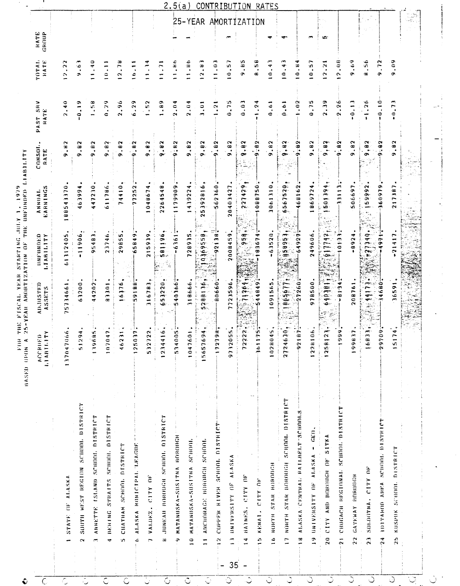|                                   |                                         | ≏<br>ACCHIIF                           | ADJUSTED   | UNFUNDED               | ANNIJAI. | CONSOL.                | $\frac{8}{3}$<br>PAST | TOTAL                                         |                      |
|-----------------------------------|-----------------------------------------|----------------------------------------|------------|------------------------|----------|------------------------|-----------------------|-----------------------------------------------|----------------------|
|                                   |                                         | $\tilde{\mathbf{r}}$<br><b>LIABILI</b> | ASSETS     | LIARILITY              | EARNINGS | RATE                   | RATE                  | NATE                                          | HATE<br>GROUP        |
|                                   | STATE OF ALASKA                         | $\ddot{\phantom{0}}$<br>1370470        | 75734661   | 61312405               | 88543370 | $\cdot$ H <sub>2</sub> | 2.40                  | 12.2                                          |                      |
| $\mathbf{C}$                      | SUMPH WEST REGION SCHOOL DISTRICT       | 94<br>$\frac{2}{2}$                    | 63200      | -11906                 | 96669    | .92<br>ຶ               | 0.19                  | ه.<br>ه                                       |                      |
| Ĩ.                                | ANNETTE ISLAND SCHOOL DISTRICT          | 86<br>1396                             | 44202      | 95483                  | 447230   | .82<br>$\bullet$       | 1.58                  | $1 - 40$                                      |                      |
| 4                                 | STRAITS SCHOOL DISTRICT<br>DERTHI       | $\ddot{a}$<br>0001                     | 83301      | 23746                  | 611786   | .82<br>ç,              | 0.29                  | $\frac{1}{2}$                                 |                      |
| Ś,                                | CHATHAM SCHOOL DISTRICT                 | $\frac{1}{2}$<br>$\frac{6}{3}$         | 16376      | 29855                  | 74410    | .82<br>Ğ,              | 2,96                  | 12.78                                         |                      |
| ¢                                 | ALASKA MUNICTPAL TEAGUE                 | $\mathbf{r}$<br>1250                   | 59188      | 65849                  | 77252    | $\frac{1}{2}$<br>¢     | 6.29                  | 16.11                                         |                      |
| $\overline{ }$                    | VALDEZ. CITY OF                         | 22<br>5327                             | 316783     | 215939                 | 048674   | .92<br>σ٠              | .52                   | $\ddot{ }$                                    |                      |
| æ                                 | JUNEAU BOROUGH SCHOOL DISTRICT          | ۼ<br>12.34                             | 53220<br>œ | 581196,                | 2264548  | 9.82                   | 68 <sup>1</sup>       | 11.71                                         |                      |
| Ģ,                                | MATANUSKA-SUSITNA BOROUGH               | 5340051                                | 540366     | $-6361$<br>iz.         | 1179909  | $-82$<br>œ             | 2.04                  | 1.86                                          |                      |
| $\frac{0}{1}$                     | SCHOOL<br>MATANUSKA-SUSITNA             | 1047601                                | 318666     | 728935                 | 1439224  | .82<br>ó               | 2.04                  | $\frac{36}{11}$                               | 25-YEAR AMORTIZATIDN |
| $\frac{1}{1}$                     | <b>Ансионаск</b> вования scноот.        | 15657694                               | 5288136    | 19369559               | 25392816 | .92<br>۰               | ະຸ                    | æ.<br>$\sim$                                  |                      |
| $\frac{2}{\pi}$<br>$\overline{a}$ | COPPER RIVER SCHOOL DISTRICT            | $\frac{1}{96}$<br>1727                 | 0.0666     | $-32138$               | 562360   | .82                    | $\frac{1}{2}$         | 1.03                                          |                      |
| $\frac{1}{2}$<br>35               | AI.ASKA<br>UNIVERSITY OF                | Ś.<br>97320                            | 723596     | 2008459                | 20403427 | 9.82                   | 0.75                  | 0.57                                          |                      |
| $\frac{4}{1}$                     | HAINES, CITY OF                         | $\frac{2}{2}$<br>722                   | 9964       | ္က ခုနှစ္ <sub>း</sub> | 521456   | 9.92                   | 0.03                  | 9.83                                          |                      |
| $\frac{5}{2}$                     | CITY-OF<br>KENAT.                       | ÷<br>$\frac{1}{2}$                     | 544849     | -8367                  | 086750   | $\frac{1}{2}$          | .24                   | A.58                                          |                      |
| $\hat{=}$                         | NURTH STAR BUROUGH                      | 1028045                                | 1091565    | $-63520$               | 3061310  | 9.82                   | 0.61                  | 0.43                                          | ┯                    |
| $\overline{1}$                    | NORTH STAR BOROUGH SCHOOL DISTRICT      | ूं<br>31246                            | 165677     | 18,9951,               | 6567520  | 9, 02                  | 0.4.1                 | Č<br>$\ddot{ }$ . $\ddot{ }$                  | ٠                    |
| $\frac{1}{2}$                     | ALASKA CENTRAL RATLBELT-SCHOOLS         | $\mathbf{B}$<br>66                     | 27260      | 64927                  | 468162   | 8:45                   | $\ddot{\phantom{0}}$  | 0.84                                          |                      |
| $\mathbf{r}$                      | UNIVERSITY OF ALASKA - GEO.             | $\frac{6}{1}$<br>12281                 | 978500     | 249606                 | 86972    | .92<br>ō               | 0.75                  | 10.57                                         |                      |
| $\tilde{\mathbf{z}}$              | SITKA<br>CITY AND BOROUGH OF            | $\overline{2}$<br>12581                | 640301     | 911148                 | bbttog   | 6, 8, 6                | 2.39                  | $\ddot{\phantom{0}}$<br>$\tilde{\phantom{a}}$ | ua-                  |
| $\frac{1}{2}$                     | CHUGACH REGIONAL SCHOOL DISTRICT        | 5                                      | $-81 - 34$ | $101 - 3$              | 33113    | 9.82                   | 2.26                  | 9.08                                          |                      |
| 22                                | GATEMAY BOROUGH                         | $\mathbf{r}$<br>1990                   | 208761     | $-0.924$               | 506697   | .82<br>σ               | $\frac{1}{2}$         | 64.                                           |                      |
| $\overline{23}$                   | SOLOHTMA . CITY OF                      | بية<br>168                             | $-51144$   | -666184                | 159992   | 9,82                   | $-1.26$               | 8.56                                          |                      |
| $\frac{4}{3}$                     | SCHOOL DISTRICT<br><b>IDTTAROD ARPA</b> | $\frac{6}{9}$<br>660                   | 4680       | 4971                   | 660919   | $-0.2$                 | $-0.10$               | .72<br>۰                                      |                      |
| 25                                | KUSPIJK SCHOOL DISTRICT                 | $\overline{1}$<br>$\overline{151}$     | 16591      | $-21417$               | 217387   | $\bullet$<br>c.        | $-0.7$                | 60.6                                          |                      |
|                                   |                                         |                                        |            |                        |          |                        |                       |                                               |                      |

 $\overline{\phantom{a}}$ 

FOR THE FISCAL VEAR STARTING JULY 1, 1979

- 1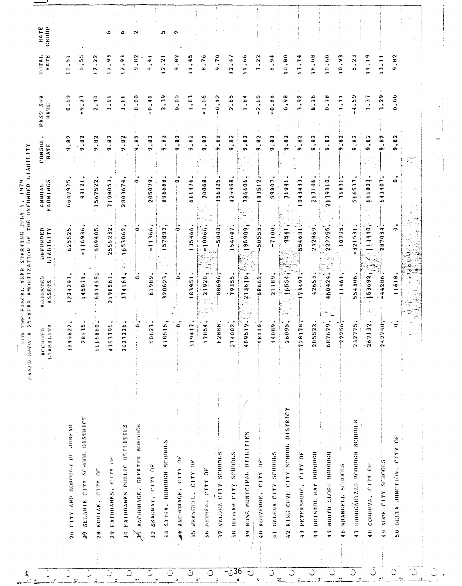|                                               | <b>ALL</b><br>$\mathbf{e}$<br>ACCRI<br>LIABII              | <b>AD.IUSTED</b><br>ASSETS                  | ONFONDED<br>LIABILITY                           | ANNIAL<br>EARNINGS   | $\bullet$<br>CONSOL<br>RATE    | PASSY SHV<br>RATE:          | TUTAL.<br>RATE      |  |
|-----------------------------------------------|------------------------------------------------------------|---------------------------------------------|-------------------------------------------------|----------------------|--------------------------------|-----------------------------|---------------------|--|
| <b>DUENTY</b><br>26 CLTY AND BUROUGH OF       | 822<br>3849                                                | 1224297                                     | 625525                                          | دی:<br>664797        | 9.82                           | 0.69                        | 0.31                |  |
| SELAWIK CITY SCHOOL DISTRICT<br>$\mathcal{L}$ | 135<br>$\frac{a}{2}$                                       | 145071                                      | $-116936$                                       | 93121                | 9.82                           | 9.27<br>$\mathbf{I}$        | $0.455$             |  |
| CITY OF<br>KODIAK.<br>$\frac{8}{28}$          | 0.098<br>$\frac{6}{11}$                                    | 607455;                                     | 509405                                          | 567522<br>÷          | 9.82                           | 2.40                        | 2.22                |  |
| 29 FAIRBANKS, CITY OF                         | $95$<br>$\overline{ }$<br>475                              | 2198563                                     | 555232<br>$\sim$                                | 7198053              | 9.82                           | $\frac{1}{2}$               | 12.9                |  |
| PAIRBANKS PUBLIC OTILITIES<br>$\tilde{z}$     | 26<br>$\sim$<br>202                                        | ٠<br>174164                                 | $\tilde{\phantom{a}}$<br>653061<br>en i<br>te ( | ↞<br>80367<br>$\sim$ | 9.82                           | $\frac{1}{2}$               | 2.9                 |  |
| ANCHINAGE, GREATER BOROUGH<br>$\mathscr{F}$   | c                                                          | ۰                                           | ۰                                               | ۰                    | .82<br>Ğ,                      | 0.000                       | 9.82                |  |
| SKAGWAY, CITY OF<br>$\frac{3}{2}$             | $\overline{\phantom{a}}$<br>$\mathbf{\tilde{c}}$<br>c<br>Ş | 61989                                       | 11366<br>$\bullet$                              | 205079               | .82<br>Ö                       | $-0.41$                     | 9.41                |  |
| SITKA, BOROUGH SCHOOLS<br>$\tilde{=}$         | ٠<br>۷Ç.<br>$\frac{1}{2}$<br>47 A                          | $\bullet$<br>120623                         | 57892<br>÷                                      | 896688               | .82<br>Ğ,                      | .19<br>$\rightarrow$        | 2.21                |  |
| $\dot{\vec{c}}$<br>ANCHORAGE, "CITY<br>ž      | ۔ ا<br>$\ddot{\phantom{0}}$                                | 0<br>$\mathcal{I}^+$                        | ۰                                               | 0                    | .82<br>÷                       | 0.00                        | 9.H2                |  |
| $\tilde{a}$<br>WRANGELL, CITY<br>$\ddot{z}$   | 417<br>$\frac{1}{2}$                                       | 83951<br>÷                                  | 135466                                          | 611476               | <b>68.6</b>                    | 1.63                        | 1,45                |  |
| за вктнен. стту пе                            | $\cdot$<br>854                                             | 27920;                                      | $-10066$<br>Grago                               | 10068                | 9.82                           | 1,06                        | 8.76                |  |
| VALDEZ CITY SCHOOLS<br>៊                      | $888 -$<br>$\tilde{x}$                                     | 000000000                                   | ŧ٠<br>58087                                     | 356325               | .82<br>G.                      | $-0.12$                     | $\frac{1}{2}$<br>ð, |  |
| за нооми стеу schools                         | 002<br>234                                                 | 79355                                       | 54647                                           | 429958               | .92<br>Ò,                      | 2.65                        | 2.47                |  |
| NOME MONICIPAL OF LUTIPIES<br>$\tilde{=}$     | $\bullet$<br>$\frac{1}{9}$<br>$\frac{600}{4}$              | $\bullet$ :<br>619615                       | 160656                                          | 186606               | .82<br><b>GN</b>               | 1.84                        | 11.66               |  |
| 40 KOTZERHEL CITY OF                          | $\frac{1}{10}$                                             | 68663.                                      | 505553                                          | 143512               | 9.82                           | 2.60                        | 7.22                |  |
| 41 GALENA CITY SCHOOLS                        | 080                                                        | 21189                                       | $-7100$                                         | 59807                | 9.82                           | $-0.88$                     | 6.94                |  |
| 42 KING COVE CITY SCHOOL DISTRICT             | 095,<br>$\frac{6}{2}$                                      | ٠<br>6554<br>$\overline{\phantom{a}}$<br>łς | 9541.                                           | lifeil               | , a, a<br>œ                    | 0.98                        | 0.80                |  |
| 43 PETERSHURG, CITY OF                        | $74 -$<br>$\overline{ }$<br>728                            | 73497                                       | -10<br>54681<br>ŵ.                              | ÷<br>043433          | 9.82                           | 3.92                        | 13.74               |  |
| витятог, нау поволен<br>$\frac{4}{4}$         | 522<br>285                                                 | 42651                                       | 5982426                                         | 217106               | .82<br>Ğ,                      | $-26$<br>æ                  | 80.18               |  |
| 45 NORTH SLOPE BOROUGH                        | 679,<br>68                                                 | ξ,<br>460424.                               | 227255<br>$\mathcal{F}(\phi)$<br>ſ.<br>gir en   | ottekttt             | .92<br>ō                       | 0.78                        | 10.60               |  |
| 46 WRANGELL SCHIONLS                          | $256 -$<br>ု                                               | 11461                                       | 10795                                           | 71831                | 9.82                           | $\frac{1}{2}$               | پ<br>0.9            |  |
| 47 UNINGANIZED BOROUGH SCHOOLS                | 232775                                                     | 554306                                      | 321531<br>٠                                     | 516537               | .92<br>G.                      | 4.59                        | 5.23                |  |
| CITY OF<br>CORDONA.<br>$\frac{4}{7}$          | 132.<br>$\frac{1}{26}$                                     | 153692,                                     | - Bri<br>113440.                                | ۰<br>611823          | $\mathbf{a}$<br>$\bullet$<br>¢ | F.                          | 11.19               |  |
| NOME CITY SCHOOLS<br>۹9                       | 748<br>$\frac{4}{3}$                                       | 44286                                       | 287034.                                         | 643407               | .82<br>¢.                      | 3.29                        | $\frac{1}{1}$       |  |
| $\approx$<br>Y1.1<br>онита лимстійм.<br>ິດ    | $\epsilon$                                                 | 618<br>$\overline{ }$                       | $\circ$                                         | ٠<br>$\bullet$       | $\mathbf{a}$<br>$\bullet$<br>œ | $\ddot{\circ}$<br>$\bullet$ | .82<br>Ō.           |  |
|                                               |                                                            |                                             |                                                 |                      |                                |                             |                     |  |

FOR THE FISCAL YEAR STARTING JULY 1, 1979